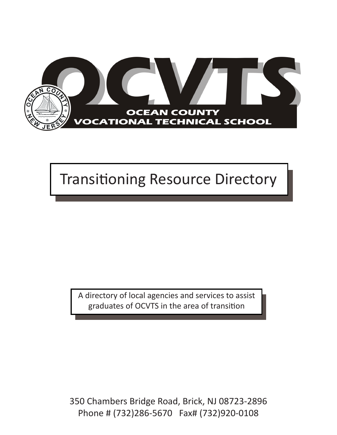

# Transitioning Resource Directory  $\begin{bmatrix} 1 & 1 & 2 & 3 \ 1 & 1 & 2 & 3 \ 2 & 2 & 3 & 6 \end{bmatrix}$

350 Chambers Bridge Road Brick, NJ 08723

Certified School Nurse

A directory of local agencies and services to assist graduates of OCVTS in the area of transition

350 Chambers Bridge Road, Brick, NJ 08723-2896 Phone # (732)286-5670 Fax# (732)920-0108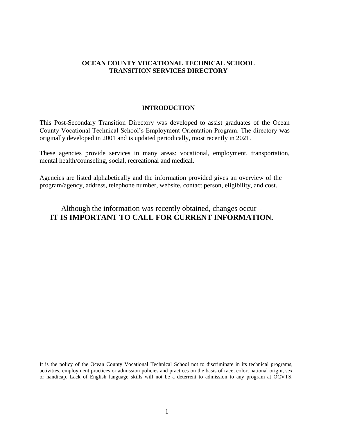#### **INTRODUCTION**

This Post-Secondary Transition Directory was developed to assist graduates of the Ocean County Vocational Technical School's Employment Orientation Program. The directory was originally developed in 2001 and is updated periodically, most recently in 2021.

These agencies provide services in many areas: vocational, employment, transportation, mental health/counseling, social, recreational and medical.

Agencies are listed alphabetically and the information provided gives an overview of the program/agency, address, telephone number, website, contact person, eligibility, and cost.

### Although the information was recently obtained, changes occur – **IT IS IMPORTANT TO CALL FOR CURRENT INFORMATION.**

It is the policy of the Ocean County Vocational Technical School not to discriminate in its technical programs, activities, employment practices or admission policies and practices on the basis of race, color, national origin, sex or handicap. Lack of English language skills will not be a deterrent to admission to any program at OCVTS.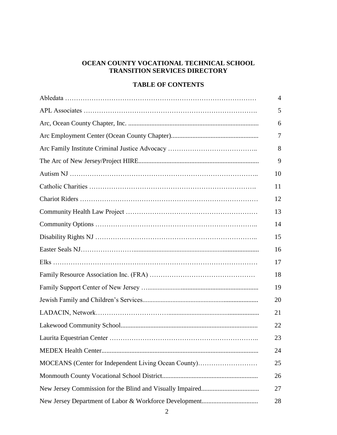#### **TABLE OF CONTENTS**

|                                                      | 4  |
|------------------------------------------------------|----|
|                                                      | 5  |
|                                                      | 6  |
|                                                      | 7  |
|                                                      | 8  |
|                                                      | 9  |
|                                                      | 10 |
|                                                      | 11 |
|                                                      | 12 |
|                                                      | 13 |
|                                                      | 14 |
|                                                      | 15 |
|                                                      | 16 |
|                                                      | 17 |
|                                                      | 18 |
|                                                      | 19 |
|                                                      | 20 |
|                                                      | 21 |
|                                                      | 22 |
|                                                      | 23 |
|                                                      | 24 |
| MOCEANS (Center for Independent Living Ocean County) | 25 |
|                                                      | 26 |
|                                                      | 27 |
|                                                      | 28 |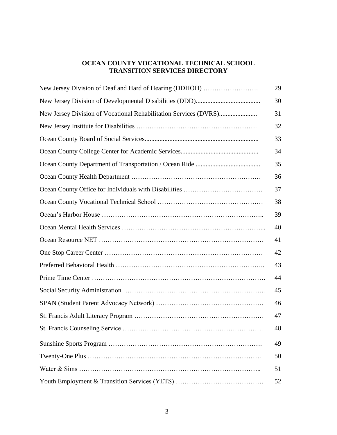| New Jersey Division of Deaf and Hard of Hearing (DDHOH) | 29 |
|---------------------------------------------------------|----|
|                                                         | 30 |
|                                                         | 31 |
|                                                         | 32 |
|                                                         | 33 |
|                                                         | 34 |
|                                                         | 35 |
|                                                         | 36 |
|                                                         | 37 |
|                                                         | 38 |
|                                                         | 39 |
|                                                         | 40 |
|                                                         | 41 |
|                                                         | 42 |
|                                                         | 43 |
|                                                         | 44 |
|                                                         | 45 |
|                                                         | 46 |
|                                                         | 47 |
|                                                         | 48 |
|                                                         | 49 |
|                                                         | 50 |
|                                                         | 51 |
|                                                         | 52 |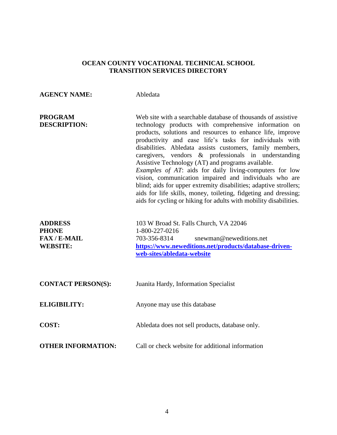| <b>AGENCY NAME:</b>                                                    | Abledata                                                                                                                                                                                                                                                                                                                                                                                                                                                                                                                                                                                                                                                                                                                                                    |
|------------------------------------------------------------------------|-------------------------------------------------------------------------------------------------------------------------------------------------------------------------------------------------------------------------------------------------------------------------------------------------------------------------------------------------------------------------------------------------------------------------------------------------------------------------------------------------------------------------------------------------------------------------------------------------------------------------------------------------------------------------------------------------------------------------------------------------------------|
| <b>PROGRAM</b><br><b>DESCRIPTION:</b>                                  | Web site with a searchable database of thousands of assistive<br>technology products with comprehensive information on<br>products, solutions and resources to enhance life, improve<br>productivity and ease life's tasks for individuals with<br>disabilities. Abledata assists customers, family members,<br>caregivers, vendors & professionals in understanding<br>Assistive Technology (AT) and programs available.<br>Examples of AT: aids for daily living-computers for low<br>vision, communication impaired and individuals who are<br>blind; aids for upper extremity disabilities; adaptive strollers;<br>aids for life skills, money, toileting, fidgeting and dressing;<br>aids for cycling or hiking for adults with mobility disabilities. |
| <b>ADDRESS</b><br><b>PHONE</b><br><b>FAX/E-MAIL</b><br><b>WEBSITE:</b> | 103 W Broad St. Falls Church, VA 22046<br>1-800-227-0216<br>703-356-8314<br>snewman@neweditions.net<br>https://www.neweditions.net/products/database-driven-<br>web-sites/abledata-website                                                                                                                                                                                                                                                                                                                                                                                                                                                                                                                                                                  |
| <b>CONTACT PERSON(S):</b>                                              | Juanita Hardy, Information Specialist                                                                                                                                                                                                                                                                                                                                                                                                                                                                                                                                                                                                                                                                                                                       |
| <b>ELIGIBILITY:</b>                                                    | Anyone may use this database                                                                                                                                                                                                                                                                                                                                                                                                                                                                                                                                                                                                                                                                                                                                |
| COST:                                                                  | Abledata does not sell products, database only.                                                                                                                                                                                                                                                                                                                                                                                                                                                                                                                                                                                                                                                                                                             |
| <b>OTHER INFORMATION:</b>                                              | Call or check website for additional information                                                                                                                                                                                                                                                                                                                                                                                                                                                                                                                                                                                                                                                                                                            |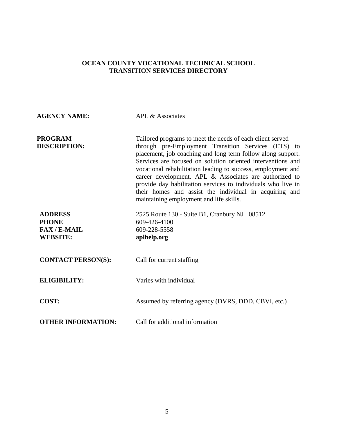| <b>AGENCY NAME:</b>                                                    | APL & Associates                                                                                                                                                                                                                                                                                                                                                                                                                                                                                                                              |
|------------------------------------------------------------------------|-----------------------------------------------------------------------------------------------------------------------------------------------------------------------------------------------------------------------------------------------------------------------------------------------------------------------------------------------------------------------------------------------------------------------------------------------------------------------------------------------------------------------------------------------|
| <b>PROGRAM</b><br><b>DESCRIPTION:</b>                                  | Tailored programs to meet the needs of each client served<br>through pre-Employment Transition Services (ETS) to<br>placement, job coaching and long term follow along support.<br>Services are focused on solution oriented interventions and<br>vocational rehabilitation leading to success, employment and<br>career development. APL & Associates are authorized to<br>provide day habilitation services to individuals who live in<br>their homes and assist the individual in acquiring and<br>maintaining employment and life skills. |
| <b>ADDRESS</b><br><b>PHONE</b><br><b>FAX/E-MAIL</b><br><b>WEBSITE:</b> | 2525 Route 130 - Suite B1, Cranbury NJ 08512<br>609-426-4100<br>609-228-5558<br>aplhelp.org                                                                                                                                                                                                                                                                                                                                                                                                                                                   |
| <b>CONTACT PERSON(S):</b>                                              | Call for current staffing                                                                                                                                                                                                                                                                                                                                                                                                                                                                                                                     |
| <b>ELIGIBILITY:</b>                                                    | Varies with individual                                                                                                                                                                                                                                                                                                                                                                                                                                                                                                                        |
| COST:                                                                  | Assumed by referring agency (DVRS, DDD, CBVI, etc.)                                                                                                                                                                                                                                                                                                                                                                                                                                                                                           |
| <b>OTHER INFORMATION:</b>                                              | Call for additional information                                                                                                                                                                                                                                                                                                                                                                                                                                                                                                               |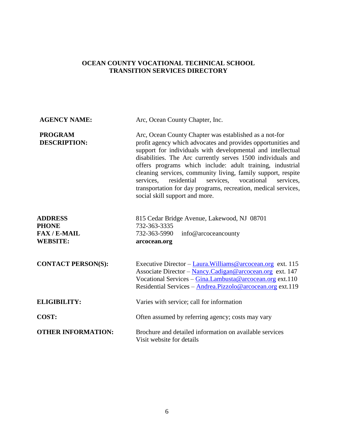| <b>AGENCY NAME:</b>                                                    | Arc, Ocean County Chapter, Inc.                                                                                                                                                                                                                                                                                                                                                                                                                                                                                                                     |
|------------------------------------------------------------------------|-----------------------------------------------------------------------------------------------------------------------------------------------------------------------------------------------------------------------------------------------------------------------------------------------------------------------------------------------------------------------------------------------------------------------------------------------------------------------------------------------------------------------------------------------------|
| <b>PROGRAM</b><br><b>DESCRIPTION:</b>                                  | Arc, Ocean County Chapter was established as a not-for<br>profit agency which advocates and provides opportunities and<br>support for individuals with developmental and intellectual<br>disabilities. The Arc currently serves 1500 individuals and<br>offers programs which include: adult training, industrial<br>cleaning services, community living, family support, respite<br>services, residential<br>services, vocational<br>services.<br>transportation for day programs, recreation, medical services,<br>social skill support and more. |
| <b>ADDRESS</b><br><b>PHONE</b><br><b>FAX/E-MAIL</b><br><b>WEBSITE:</b> | 815 Cedar Bridge Avenue, Lakewood, NJ 08701<br>732-363-3335<br>732-363-5990<br>info@arcoceancounty<br>arcocean.org                                                                                                                                                                                                                                                                                                                                                                                                                                  |
| <b>CONTACT PERSON(S):</b>                                              | Executive Director – Laura. Williams @ arcocean.org ext. 115<br>Associate Director - Nancy.Cadigan@arcocean.org ext. 147<br>Vocational Services - Gina.Lambusta@arcocean.org ext.110<br>Residential Services - Andrea.Pizzolo@arcocean.org ext.119                                                                                                                                                                                                                                                                                                  |
| <b>ELIGIBILITY:</b>                                                    | Varies with service; call for information                                                                                                                                                                                                                                                                                                                                                                                                                                                                                                           |
| COST:                                                                  | Often assumed by referring agency; costs may vary                                                                                                                                                                                                                                                                                                                                                                                                                                                                                                   |
| <b>OTHER INFORMATION:</b>                                              | Brochure and detailed information on available services<br>Visit website for details                                                                                                                                                                                                                                                                                                                                                                                                                                                                |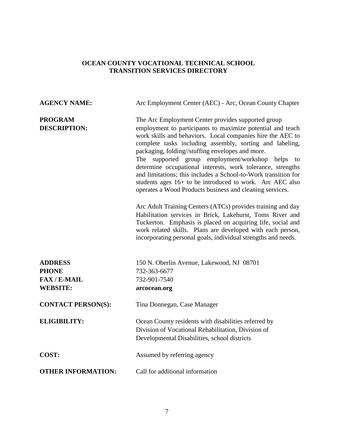| <b>AGENCY NAME:</b>                                                    | Arc Employment Center (AEC) - Arc, Ocean County Chapter                                                                                                                                                                                                                                                                                                                                                                                                                                                                                                                                                                                                                                                                                                                                                                                                                                                                               |
|------------------------------------------------------------------------|---------------------------------------------------------------------------------------------------------------------------------------------------------------------------------------------------------------------------------------------------------------------------------------------------------------------------------------------------------------------------------------------------------------------------------------------------------------------------------------------------------------------------------------------------------------------------------------------------------------------------------------------------------------------------------------------------------------------------------------------------------------------------------------------------------------------------------------------------------------------------------------------------------------------------------------|
| <b>PROGRAM</b><br><b>DESCRIPTION:</b>                                  | The Arc Employment Center provides supported group<br>employment to participants to maximize potential and teach<br>work skills and behaviors. Local companies hire the AEC to<br>complete tasks including assembly, sorting and labeling,<br>packaging, folding//stuffing envelopes and more.<br>The supported group employment/workshop helps to<br>determine occupational interests, work tolerance, strengths<br>and limitations; this includes a School-to-Work transition for<br>students ages 16+ to be introduced to work. Arc AEC also<br>operates a Wood Products business and cleaning services.<br>Arc Adult Training Centers (ATCs) provides training and day<br>Habilitation services in Brick, Lakehurst, Toms River and<br>Tuckerton. Emphasis is placed on acquiring life, social and<br>work related skills. Plans are developed with each person,<br>incorporating personal goals, individual strengths and needs. |
| <b>ADDRESS</b><br><b>PHONE</b><br><b>FAX/E-MAIL</b><br><b>WEBSITE:</b> | 150 N. Oberlin Avenue, Lakewood, NJ 08701<br>732-363-6677<br>732-901-7540<br>arcocean.org                                                                                                                                                                                                                                                                                                                                                                                                                                                                                                                                                                                                                                                                                                                                                                                                                                             |
| <b>CONTACT PERSON(S):</b>                                              | Tina Donnegan, Case Manager                                                                                                                                                                                                                                                                                                                                                                                                                                                                                                                                                                                                                                                                                                                                                                                                                                                                                                           |
| <b>ELIGIBILITY:</b>                                                    | Ocean County residents with disabilities referred by<br>Division of Vocational Rehabilitation, Division of<br>Developmental Disabilities, school districts                                                                                                                                                                                                                                                                                                                                                                                                                                                                                                                                                                                                                                                                                                                                                                            |
| COST:                                                                  | Assumed by referring agency                                                                                                                                                                                                                                                                                                                                                                                                                                                                                                                                                                                                                                                                                                                                                                                                                                                                                                           |
| <b>OTHER INFORMATION:</b>                                              | Call for additional information                                                                                                                                                                                                                                                                                                                                                                                                                                                                                                                                                                                                                                                                                                                                                                                                                                                                                                       |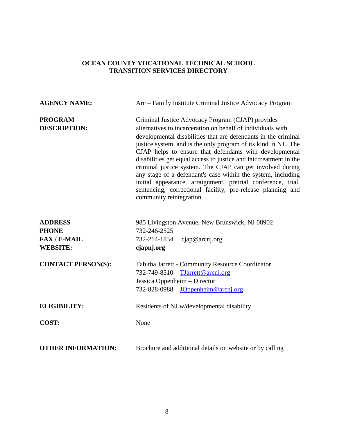| <b>AGENCY NAME:</b>                                                    | Arc – Family Institute Criminal Justice Advocacy Program                                                                                                                                                                                                                                                                                                                                                                                                                                                                                                                                                                                                                      |
|------------------------------------------------------------------------|-------------------------------------------------------------------------------------------------------------------------------------------------------------------------------------------------------------------------------------------------------------------------------------------------------------------------------------------------------------------------------------------------------------------------------------------------------------------------------------------------------------------------------------------------------------------------------------------------------------------------------------------------------------------------------|
| <b>PROGRAM</b><br><b>DESCRIPTION:</b>                                  | Criminal Justice Advocacy Program (CJAP) provides<br>alternatives to incarceration on behalf of individuals with<br>developmental disabilities that are defendants in the criminal<br>justice system, and is the only program of its kind in NJ. The<br>CJAP helps to ensure that defendants with developmental<br>disabilities get equal access to justice and fair treatment in the<br>criminal justice system. The CJAP can get involved during<br>any stage of a defendant's case within the system, including<br>initial appearance, arraignment, pretrial conference, trial,<br>sentencing, correctional facility, pre-release planning and<br>community reintegration. |
| <b>ADDRESS</b><br><b>PHONE</b><br><b>FAX/E-MAIL</b><br><b>WEBSITE:</b> | 985 Livingston Avenue, New Brunswick, NJ 08902<br>732-246-2525<br>732-214-1834<br>cjap@arcnj.org<br>cjapnj.org                                                                                                                                                                                                                                                                                                                                                                                                                                                                                                                                                                |
| <b>CONTACT PERSON(S):</b>                                              | Tabitha Jarrett - Community Resource Coordinator<br>732-749-8510<br>TJarrett@arcnj.org<br>Jessica Oppenheim – Director<br>732-828-0988<br>JOppenheim@arcnj.org                                                                                                                                                                                                                                                                                                                                                                                                                                                                                                                |
| <b>ELIGIBILITY:</b>                                                    | Residents of NJ w/developmental disability                                                                                                                                                                                                                                                                                                                                                                                                                                                                                                                                                                                                                                    |
| COST:                                                                  | None                                                                                                                                                                                                                                                                                                                                                                                                                                                                                                                                                                                                                                                                          |
| <b>OTHER INFORMATION:</b>                                              | Brochure and additional details on website or by calling                                                                                                                                                                                                                                                                                                                                                                                                                                                                                                                                                                                                                      |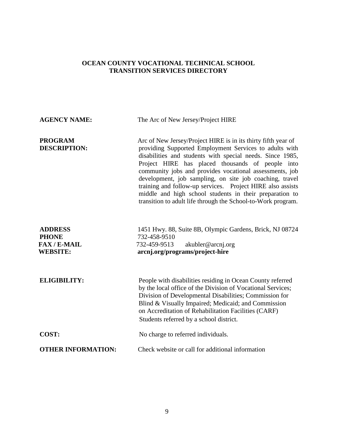| <b>AGENCY NAME:</b>                                                    | The Arc of New Jersey/Project HIRE                                                                                                                                                                                                                                                                                                                                                                                                                                                                                                                      |
|------------------------------------------------------------------------|---------------------------------------------------------------------------------------------------------------------------------------------------------------------------------------------------------------------------------------------------------------------------------------------------------------------------------------------------------------------------------------------------------------------------------------------------------------------------------------------------------------------------------------------------------|
| <b>PROGRAM</b><br><b>DESCRIPTION:</b>                                  | Arc of New Jersey/Project HIRE is in its thirty fifth year of<br>providing Supported Employment Services to adults with<br>disabilities and students with special needs. Since 1985,<br>Project HIRE has placed thousands of people into<br>community jobs and provides vocational assessments, job<br>development, job sampling, on site job coaching, travel<br>training and follow-up services. Project HIRE also assists<br>middle and high school students in their preparation to<br>transition to adult life through the School-to-Work program. |
| <b>ADDRESS</b><br><b>PHONE</b><br><b>FAX/E-MAIL</b><br><b>WEBSITE:</b> | 1451 Hwy. 88, Suite 8B, Olympic Gardens, Brick, NJ 08724<br>732-458-9510<br>akubler@arcnj.org<br>732-459-9513<br>arcnj.org/programs/project-hire                                                                                                                                                                                                                                                                                                                                                                                                        |
| <b>ELIGIBILITY:</b>                                                    | People with disabilities residing in Ocean County referred<br>by the local office of the Division of Vocational Services;<br>Division of Developmental Disabilities; Commission for<br>Blind & Visually Impaired; Medicaid; and Commission<br>on Accreditation of Rehabilitation Facilities (CARF)<br>Students referred by a school district.                                                                                                                                                                                                           |
| COST:                                                                  | No charge to referred individuals.                                                                                                                                                                                                                                                                                                                                                                                                                                                                                                                      |
| <b>OTHER INFORMATION:</b>                                              | Check website or call for additional information                                                                                                                                                                                                                                                                                                                                                                                                                                                                                                        |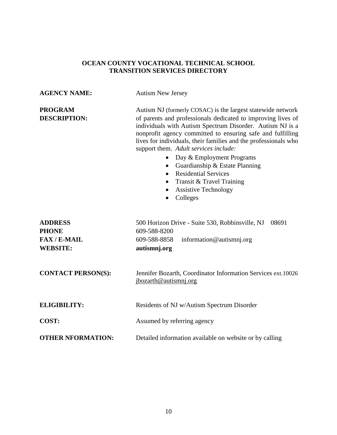| <b>AGENCY NAME:</b>                                                    | <b>Autism New Jersey</b>                                                                                                                                                                                                                                                                                                                                                                                                                                                                                                                                                |
|------------------------------------------------------------------------|-------------------------------------------------------------------------------------------------------------------------------------------------------------------------------------------------------------------------------------------------------------------------------------------------------------------------------------------------------------------------------------------------------------------------------------------------------------------------------------------------------------------------------------------------------------------------|
| <b>PROGRAM</b><br><b>DESCRIPTION:</b>                                  | Autism NJ (formerly COSAC) is the largest statewide network<br>of parents and professionals dedicated to improving lives of<br>individuals with Autism Spectrum Disorder. Autism NJ is a<br>nonprofit agency committed to ensuring safe and fulfilling<br>lives for individuals, their families and the professionals who<br>support them. Adult services include:<br>Day & Employment Programs<br>Guardianship & Estate Planning<br>٠<br><b>Residential Services</b><br>Transit & Travel Training<br>$\bullet$<br><b>Assistive Technology</b><br>Colleges<br>$\bullet$ |
| <b>ADDRESS</b><br><b>PHONE</b><br><b>FAX/E-MAIL</b><br><b>WEBSITE:</b> | 500 Horizon Drive - Suite 530, Robbinsville, NJ<br>08691<br>609-588-8200<br>609-588-8858<br>information@autismnj.org<br>autismnj.org                                                                                                                                                                                                                                                                                                                                                                                                                                    |
| <b>CONTACT PERSON(S):</b>                                              | Jennifer Bozarth, Coordinator Information Services ext.10026<br>jbozarth@autismnj.org                                                                                                                                                                                                                                                                                                                                                                                                                                                                                   |
| <b>ELIGIBILITY:</b>                                                    | Residents of NJ w/Autism Spectrum Disorder                                                                                                                                                                                                                                                                                                                                                                                                                                                                                                                              |
| <b>COST:</b>                                                           | Assumed by referring agency                                                                                                                                                                                                                                                                                                                                                                                                                                                                                                                                             |
| <b>OTHER NFORMATION:</b>                                               | Detailed information available on website or by calling                                                                                                                                                                                                                                                                                                                                                                                                                                                                                                                 |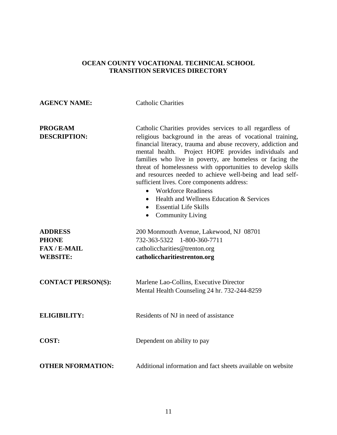# **AGENCY NAME:** Catholic Charities **PROGRAM** Catholic Charities provides services to all regardless of **DESCRIPTION:** religious background in the areas of vocational training, financial literacy, trauma and abuse recovery, addiction and mental health.Project HOPE provides individuals and families who live in poverty, are homeless or facing the threat of homelessness with opportunities to develop skills and resources needed to achieve well-being and lead selfsufficient lives. Core components address: Workforce Readiness  $\bullet$  Health and Wellness Education & Services Essential Life Skills • Community Living **ADDRESS** 200 Monmouth Avenue, Lakewood, NJ 08701 **PHONE** 732-363-5322 1-800-360-7711 **FAX / E-MAIL** catholiccharities @trenton.org **WEBSITE: catholiccharitiestrenton.org CONTACT PERSON(S):** Marlene Lao-Collins, Executive Director Mental Health Counseling 24 hr. 732-244-8259 **ELIGIBILITY:** Residents of NJ in need of assistance **COST:** Dependent on ability to pay **OTHER NFORMATION:** Additional information and fact sheets available on website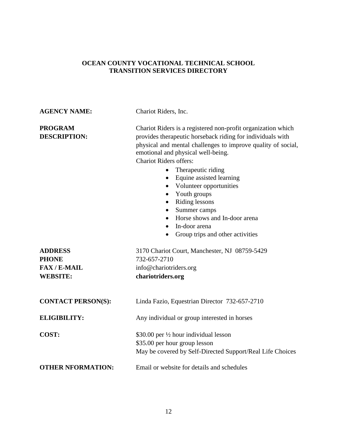| <b>AGENCY NAME:</b>                                                    | Chariot Riders, Inc.                                                                                                                                                                                                                                                                                                                                                                                                                                                                                                                                                                             |
|------------------------------------------------------------------------|--------------------------------------------------------------------------------------------------------------------------------------------------------------------------------------------------------------------------------------------------------------------------------------------------------------------------------------------------------------------------------------------------------------------------------------------------------------------------------------------------------------------------------------------------------------------------------------------------|
| <b>PROGRAM</b><br><b>DESCRIPTION:</b>                                  | Chariot Riders is a registered non-profit organization which<br>provides therapeutic horseback riding for individuals with<br>physical and mental challenges to improve quality of social,<br>emotional and physical well-being.<br><b>Chariot Riders offers:</b><br>Therapeutic riding<br>$\bullet$<br>Equine assisted learning<br>$\bullet$<br>• Volunteer opportunities<br>Youth groups<br>$\bullet$<br>Riding lessons<br>$\bullet$<br>Summer camps<br>$\bullet$<br>Horse shows and In-door arena<br>$\bullet$<br>In-door arena<br>$\bullet$<br>Group trips and other activities<br>$\bullet$ |
| <b>ADDRESS</b><br><b>PHONE</b><br><b>FAX/E-MAIL</b><br><b>WEBSITE:</b> | 3170 Chariot Court, Manchester, NJ 08759-5429<br>732-657-2710<br>info@chariotriders.org<br>chariotriders.org                                                                                                                                                                                                                                                                                                                                                                                                                                                                                     |
| <b>CONTACT PERSON(S):</b>                                              | Linda Fazio, Equestrian Director 732-657-2710                                                                                                                                                                                                                                                                                                                                                                                                                                                                                                                                                    |
| <b>ELIGIBILITY:</b>                                                    | Any individual or group interested in horses                                                                                                                                                                                                                                                                                                                                                                                                                                                                                                                                                     |
| COST:                                                                  | \$30.00 per 1/2 hour individual lesson<br>\$35.00 per hour group lesson<br>May be covered by Self-Directed Support/Real Life Choices                                                                                                                                                                                                                                                                                                                                                                                                                                                             |
| <b>OTHER NFORMATION:</b>                                               | Email or website for details and schedules                                                                                                                                                                                                                                                                                                                                                                                                                                                                                                                                                       |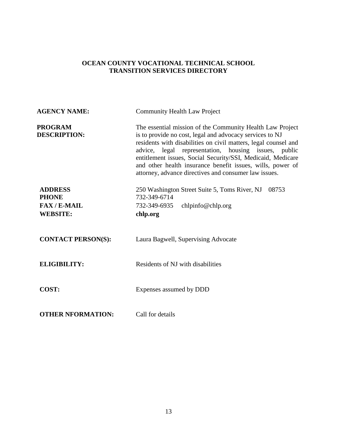| <b>AGENCY NAME:</b>                                                    | <b>Community Health Law Project</b>                                                                                                                                                                                                                                                                                                                                                                                                    |
|------------------------------------------------------------------------|----------------------------------------------------------------------------------------------------------------------------------------------------------------------------------------------------------------------------------------------------------------------------------------------------------------------------------------------------------------------------------------------------------------------------------------|
| <b>PROGRAM</b><br><b>DESCRIPTION:</b>                                  | The essential mission of the Community Health Law Project<br>is to provide no cost, legal and advocacy services to NJ<br>residents with disabilities on civil matters, legal counsel and<br>advice, legal representation, housing issues, public<br>entitlement issues, Social Security/SSI, Medicaid, Medicare<br>and other health insurance benefit issues, wills, power of<br>attorney, advance directives and consumer law issues. |
| <b>ADDRESS</b><br><b>PHONE</b><br><b>FAX/E-MAIL</b><br><b>WEBSITE:</b> | 250 Washington Street Suite 5, Toms River, NJ<br>08753<br>732-349-6714<br>732-349-6935<br>chlpinfo@chlp.org<br>chlp.org                                                                                                                                                                                                                                                                                                                |
| <b>CONTACT PERSON(S):</b>                                              | Laura Bagwell, Supervising Advocate                                                                                                                                                                                                                                                                                                                                                                                                    |
| <b>ELIGIBILITY:</b>                                                    | Residents of NJ with disabilities                                                                                                                                                                                                                                                                                                                                                                                                      |
| COST:                                                                  | Expenses assumed by DDD                                                                                                                                                                                                                                                                                                                                                                                                                |
| <b>OTHER NFORMATION:</b>                                               | Call for details                                                                                                                                                                                                                                                                                                                                                                                                                       |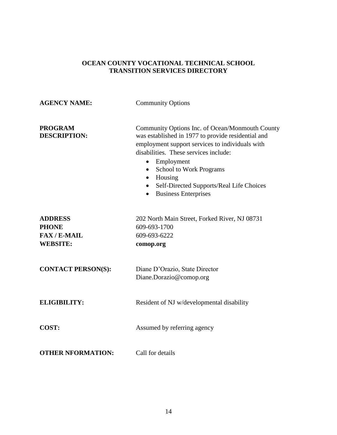| <b>AGENCY NAME:</b>                                                    | <b>Community Options</b>                                                                                                                                                                                                                                                                                                                                                |
|------------------------------------------------------------------------|-------------------------------------------------------------------------------------------------------------------------------------------------------------------------------------------------------------------------------------------------------------------------------------------------------------------------------------------------------------------------|
| <b>PROGRAM</b><br><b>DESCRIPTION:</b>                                  | Community Options Inc. of Ocean/Monmouth County<br>was established in 1977 to provide residential and<br>employment support services to individuals with<br>disabilities. These services include:<br>Employment<br>$\bullet$<br>School to Work Programs<br>$\bullet$<br>Housing<br>Self-Directed Supports/Real Life Choices<br><b>Business Enterprises</b><br>$\bullet$ |
| <b>ADDRESS</b><br><b>PHONE</b><br><b>FAX/E-MAIL</b><br><b>WEBSITE:</b> | 202 North Main Street, Forked River, NJ 08731<br>609-693-1700<br>609-693-6222<br>comop.org                                                                                                                                                                                                                                                                              |
| <b>CONTACT PERSON(S):</b>                                              | Diane D'Orazio, State Director<br>Diane.Dorazio@comop.org                                                                                                                                                                                                                                                                                                               |
| <b>ELIGIBILITY:</b>                                                    | Resident of NJ w/developmental disability                                                                                                                                                                                                                                                                                                                               |
| <b>COST:</b>                                                           | Assumed by referring agency                                                                                                                                                                                                                                                                                                                                             |
| <b>OTHER NFORMATION:</b>                                               | Call for details                                                                                                                                                                                                                                                                                                                                                        |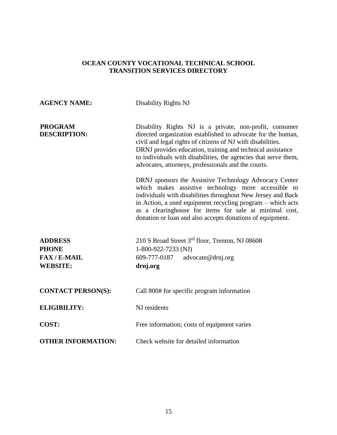| <b>AGENCY NAME:</b>                                                    | Disability Rights NJ                                                                                                                                                                                                                                                                                                                                                           |
|------------------------------------------------------------------------|--------------------------------------------------------------------------------------------------------------------------------------------------------------------------------------------------------------------------------------------------------------------------------------------------------------------------------------------------------------------------------|
| <b>PROGRAM</b><br><b>DESCRIPTION:</b>                                  | Disability Rights NJ is a private, non-profit, consumer<br>directed organization established to advocate for the human,<br>civil and legal rights of citizens of NJ with disabilities.<br>DRNJ provides education, training and technical assistance<br>to individuals with disabilities, the agencies that serve them,<br>advocates, attorneys, professionals and the courts. |
|                                                                        | DRNJ sponsors the Assistive Technology Advocacy Center<br>which makes assistive technology more accessible to<br>individuals with disabilities throughout New Jersey and Back<br>in Action, a used equipment recycling program - which acts<br>as a clearinghouse for items for sale at minimal cost,<br>donation or loan and also accepts donations of equipment.             |
| <b>ADDRESS</b><br><b>PHONE</b><br><b>FAX/E-MAIL</b><br><b>WEBSITE:</b> | 210 S Broad Street 3rd floor, Trenton, NJ 08608<br>1-800-922-7233 (NJ)<br>609-777-0187<br>advocate@drnj.org<br>drnj.org                                                                                                                                                                                                                                                        |
| <b>CONTACT PERSON(S):</b>                                              | Call 800# for specific program information                                                                                                                                                                                                                                                                                                                                     |
| <b>ELIGIBILITY:</b>                                                    | NJ residents                                                                                                                                                                                                                                                                                                                                                                   |
| COST:                                                                  | Free information; costs of equipment varies                                                                                                                                                                                                                                                                                                                                    |
| <b>OTHER INFORMATION:</b>                                              | Check website for detailed information                                                                                                                                                                                                                                                                                                                                         |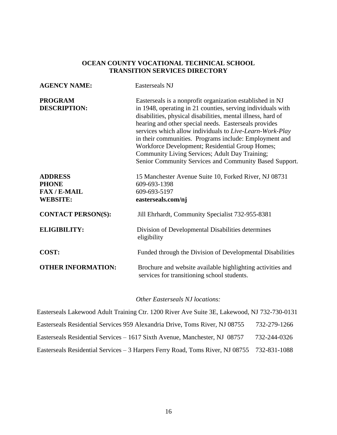| <b>AGENCY NAME:</b>                                                    | <b>Easterseals NJ</b>                                                                                                                                                                                                                                                                                                                                                                                                                                                                                                                  |
|------------------------------------------------------------------------|----------------------------------------------------------------------------------------------------------------------------------------------------------------------------------------------------------------------------------------------------------------------------------------------------------------------------------------------------------------------------------------------------------------------------------------------------------------------------------------------------------------------------------------|
| <b>PROGRAM</b><br><b>DESCRIPTION:</b>                                  | Easterseals is a nonprofit organization established in NJ<br>in 1948, operating in 21 counties, serving individuals with<br>disabilities, physical disabilities, mental illness, hard of<br>hearing and other special needs. Easterseals provides<br>services which allow individuals to Live-Learn-Work-Play<br>in their communities. Programs include: Employment and<br>Workforce Development; Residential Group Homes;<br>Community Living Services; Adult Day Training;<br>Senior Community Services and Community Based Support. |
| <b>ADDRESS</b><br><b>PHONE</b><br><b>FAX/E-MAIL</b><br><b>WEBSITE:</b> | 15 Manchester Avenue Suite 10, Forked River, NJ 08731<br>609-693-1398<br>609-693-5197<br>easterseals.com/nj                                                                                                                                                                                                                                                                                                                                                                                                                            |
| <b>CONTACT PERSON(S):</b>                                              | Jill Ehrhardt, Community Specialist 732-955-8381                                                                                                                                                                                                                                                                                                                                                                                                                                                                                       |
| <b>ELIGIBILITY:</b>                                                    | Division of Developmental Disabilities determines<br>eligibility                                                                                                                                                                                                                                                                                                                                                                                                                                                                       |
| COST:                                                                  | Funded through the Division of Developmental Disabilities                                                                                                                                                                                                                                                                                                                                                                                                                                                                              |
| <b>OTHER INFORMATION:</b>                                              | Brochure and website available highlighting activities and<br>services for transitioning school students.                                                                                                                                                                                                                                                                                                                                                                                                                              |

### *Other Easterseals NJ locations:*

| Easterseals Lakewood Adult Training Ctr. 1200 River Ave Suite 3E, Lakewood, NJ 732-730-0131 |              |
|---------------------------------------------------------------------------------------------|--------------|
| Easterseals Residential Services 959 Alexandria Drive, Toms River, NJ 08755                 | 732-279-1266 |
| Easterseals Residential Services – 1617 Sixth Avenue, Manchester, NJ 08757                  | 732-244-0326 |
| Easterseals Residential Services – 3 Harpers Ferry Road, Toms River, NJ 08755 732-831-1088  |              |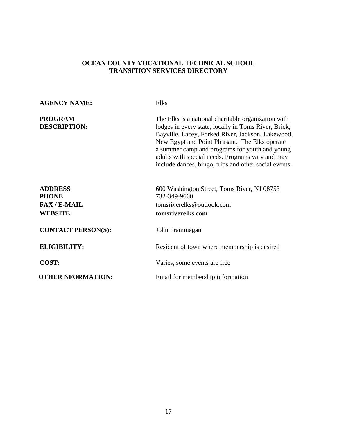| <b>AGENCY NAME:</b>                                                 | <b>Elks</b>                                                                                                                                                                                                                                                                                                                                                                       |
|---------------------------------------------------------------------|-----------------------------------------------------------------------------------------------------------------------------------------------------------------------------------------------------------------------------------------------------------------------------------------------------------------------------------------------------------------------------------|
| <b>PROGRAM</b><br><b>DESCRIPTION:</b>                               | The Elks is a national charitable organization with<br>lodges in every state, locally in Toms River, Brick,<br>Bayville, Lacey, Forked River, Jackson, Lakewood,<br>New Egypt and Point Pleasant. The Elks operate<br>a summer camp and programs for youth and young<br>adults with special needs. Programs vary and may<br>include dances, bingo, trips and other social events. |
| <b>ADDRESS</b><br><b>PHONE</b><br>$FAX / E-MAIL$<br><b>WEBSITE:</b> | 600 Washington Street, Toms River, NJ 08753<br>732-349-9660<br>tomsriverelks@outlook.com<br>tomsriverelks.com                                                                                                                                                                                                                                                                     |
| <b>CONTACT PERSON(S):</b>                                           | John Frammagan                                                                                                                                                                                                                                                                                                                                                                    |
| <b>ELIGIBILITY:</b>                                                 | Resident of town where membership is desired                                                                                                                                                                                                                                                                                                                                      |
| COST:                                                               | Varies, some events are free.                                                                                                                                                                                                                                                                                                                                                     |
| <b>OTHER NFORMATION:</b>                                            | Email for membership information                                                                                                                                                                                                                                                                                                                                                  |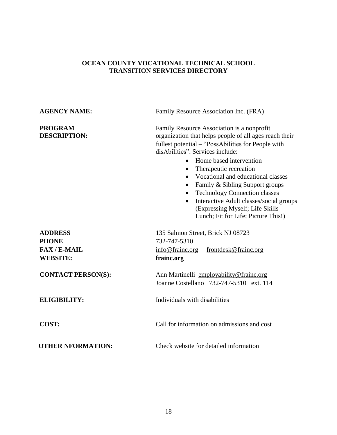# **AGENCY NAME:** Family Resource Association Inc. (FRA) **PROGRAM** Family Resource Association is a nonprofit **DESCRIPTION:** organization that helps people of all ages reach their fullest potential – "PossAbilities for People with disAbilities". Services include: • Home based intervention • Therapeutic recreation • Vocational and educational classes • Family & Sibling Support groups • Technology Connection classes • Interactive Adult classes/social groups (Expressing Myself; Life Skills Lunch; Fit for Life; Picture This!) **ADDRESS** 135 Salmon Street, Brick NJ 08723 **PHONE** 732-747-5310 **FAX / E-MAIL** [info@frainc.org](mailto:info@frainc.org) [frontdesk@frainc.org](mailto:frontdesk@frainc.org) **WEBSITE: frainc.org CONTACT PERSON(S):** Ann Martinelli [employability@frainc.org](mailto:employability@frainc.org) Joanne Costellano 732-747-5310 ext. 114 **ELIGIBILITY:** Individuals with disabilities **COST:** Call for information on admissions and cost **OTHER NFORMATION:** Check website for detailed information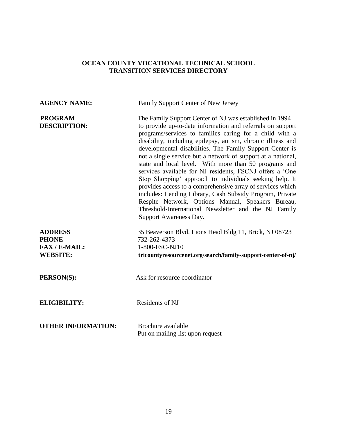| <b>AGENCY NAME:</b>                                                     | Family Support Center of New Jersey                                                                                                                                                                                                                                                                                                                                                                                                                                                                                                                                                                                                                                                                                                                                                                                          |
|-------------------------------------------------------------------------|------------------------------------------------------------------------------------------------------------------------------------------------------------------------------------------------------------------------------------------------------------------------------------------------------------------------------------------------------------------------------------------------------------------------------------------------------------------------------------------------------------------------------------------------------------------------------------------------------------------------------------------------------------------------------------------------------------------------------------------------------------------------------------------------------------------------------|
| <b>PROGRAM</b><br><b>DESCRIPTION:</b>                                   | The Family Support Center of NJ was established in 1994<br>to provide up-to-date information and referrals on support<br>programs/services to families caring for a child with a<br>disability, including epilepsy, autism, chronic illness and<br>developmental disabilities. The Family Support Center is<br>not a single service but a network of support at a national,<br>state and local level. With more than 50 programs and<br>services available for NJ residents, FSCNJ offers a 'One<br>Stop Shopping' approach to individuals seeking help. It<br>provides access to a comprehensive array of services which<br>includes: Lending Library, Cash Subsidy Program, Private<br>Respite Network, Options Manual, Speakers Bureau,<br>Threshold-International Newsletter and the NJ Family<br>Support Awareness Day. |
| <b>ADDRESS</b><br><b>PHONE</b><br><b>FAX/E-MAIL:</b><br><b>WEBSITE:</b> | 35 Beaverson Blvd. Lions Head Bldg 11, Brick, NJ 08723<br>732-262-4373<br>1-800-FSC-NJ10<br>tricountyresourcenet.org/search/family-support-center-of-nj/                                                                                                                                                                                                                                                                                                                                                                                                                                                                                                                                                                                                                                                                     |
| PERSON(S):                                                              | Ask for resource coordinator                                                                                                                                                                                                                                                                                                                                                                                                                                                                                                                                                                                                                                                                                                                                                                                                 |
| <b>ELIGIBILITY:</b>                                                     | <b>Residents of NJ</b>                                                                                                                                                                                                                                                                                                                                                                                                                                                                                                                                                                                                                                                                                                                                                                                                       |
| <b>OTHER INFORMATION:</b>                                               | Brochure available<br>Put on mailing list upon request                                                                                                                                                                                                                                                                                                                                                                                                                                                                                                                                                                                                                                                                                                                                                                       |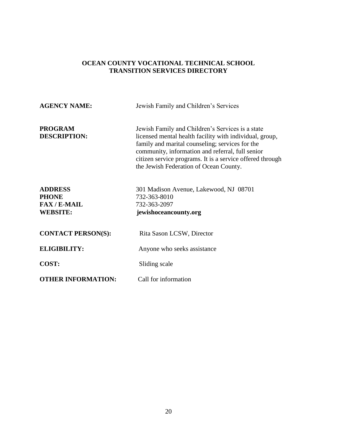# **AGENCY NAME:** Jewish Family and Children's Services **PROGRAM** Jewish Family and Children's Services is a state **DESCRIPTION:** licensed mental health facility with individual, group, family and marital counseling; services for the community, information and referral, full senior citizen service programs. It is a service offered through the Jewish Federation of Ocean County. **ADDRESS** 301 Madison Avenue, Lakewood, NJ 08701 **PHONE** 732-363-8010 **FAX / E-MAIL** 732-363-2097 **WEBSITE: jewishoceancounty.org CONTACT PERSON(S):** Rita Sason LCSW, Director **ELIGIBILITY:** Anyone who seeks assistance **COST:** Sliding scale **OTHER INFORMATION:** Call for information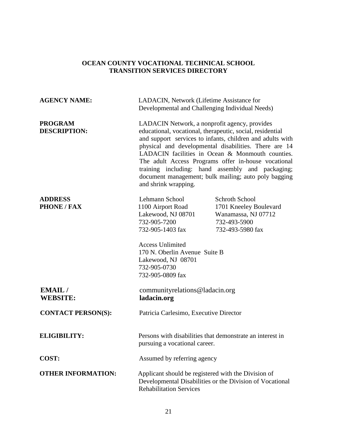| <b>AGENCY NAME:</b>                   | LADACIN, Network (Lifetime Assistance for<br>Developmental and Challenging Individual Needs)                                                                                                                                                                                                                                                                                                                                                                                    |                                                                                                            |
|---------------------------------------|---------------------------------------------------------------------------------------------------------------------------------------------------------------------------------------------------------------------------------------------------------------------------------------------------------------------------------------------------------------------------------------------------------------------------------------------------------------------------------|------------------------------------------------------------------------------------------------------------|
| <b>PROGRAM</b><br><b>DESCRIPTION:</b> | LADACIN Network, a nonprofit agency, provides<br>educational, vocational, therapeutic, social, residential<br>and support services to infants, children and adults with<br>physical and developmental disabilities. There are 14<br>LADACIN facilities in Ocean & Monmouth counties.<br>The adult Access Programs offer in-house vocational<br>training including: hand assembly and packaging;<br>document management; bulk mailing; auto poly bagging<br>and shrink wrapping. |                                                                                                            |
| <b>ADDRESS</b><br><b>PHONE / FAX</b>  | Lehmann School<br>1100 Airport Road<br>Lakewood, NJ 08701<br>732-905-7200<br>732-905-1403 fax<br><b>Access Unlimited</b><br>170 N. Oberlin Avenue Suite B<br>Lakewood, NJ 08701<br>732-905-0730<br>732-905-0809 fax                                                                                                                                                                                                                                                             | <b>Schroth School</b><br>1701 Kneeley Boulevard<br>Wanamassa, NJ 07712<br>732-493-5900<br>732-493-5980 fax |
| EMAIL/<br><b>WEBSITE:</b>             | community relations @ ladacin.org<br>ladacin.org                                                                                                                                                                                                                                                                                                                                                                                                                                |                                                                                                            |
| <b>CONTACT PERSON(S):</b>             | Patricia Carlesimo, Executive Director                                                                                                                                                                                                                                                                                                                                                                                                                                          |                                                                                                            |
| <b>ELIGIBILITY:</b>                   | Persons with disabilities that demonstrate an interest in<br>pursuing a vocational career.                                                                                                                                                                                                                                                                                                                                                                                      |                                                                                                            |
| COST:                                 | Assumed by referring agency                                                                                                                                                                                                                                                                                                                                                                                                                                                     |                                                                                                            |
| <b>OTHER INFORMATION:</b>             | Applicant should be registered with the Division of<br><b>Rehabilitation Services</b>                                                                                                                                                                                                                                                                                                                                                                                           | Developmental Disabilities or the Division of Vocational                                                   |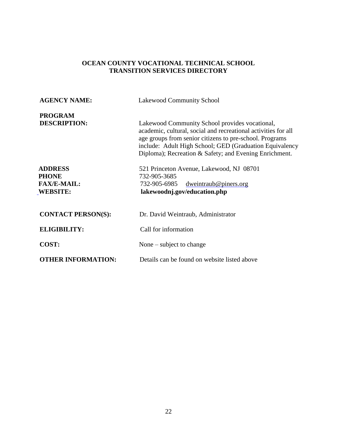| <b>AGENCY NAME:</b>                                                     | <b>Lakewood Community School</b>                                                                                                                                                                                                                                                                 |
|-------------------------------------------------------------------------|--------------------------------------------------------------------------------------------------------------------------------------------------------------------------------------------------------------------------------------------------------------------------------------------------|
| <b>PROGRAM</b><br><b>DESCRIPTION:</b>                                   | Lakewood Community School provides vocational,<br>academic, cultural, social and recreational activities for all<br>age groups from senior citizens to pre-school. Programs<br>include: Adult High School; GED (Graduation Equivalency<br>Diploma); Recreation & Safety; and Evening Enrichment. |
| <b>ADDRESS</b><br><b>PHONE</b><br><b>FAX/E-MAIL:</b><br><b>WEBSITE:</b> | 521 Princeton Avenue, Lakewood, NJ 08701<br>732-905-3685<br>732-905-6985<br>dweintraub@piners.org<br>lakewoodnj.gov/education.php                                                                                                                                                                |
| <b>CONTACT PERSON(S):</b>                                               | Dr. David Weintraub, Administrator                                                                                                                                                                                                                                                               |
| <b>ELIGIBILITY:</b>                                                     | Call for information                                                                                                                                                                                                                                                                             |
| <b>COST:</b>                                                            | None $-$ subject to change                                                                                                                                                                                                                                                                       |
| <b>OTHER INFORMATION:</b>                                               | Details can be found on website listed above                                                                                                                                                                                                                                                     |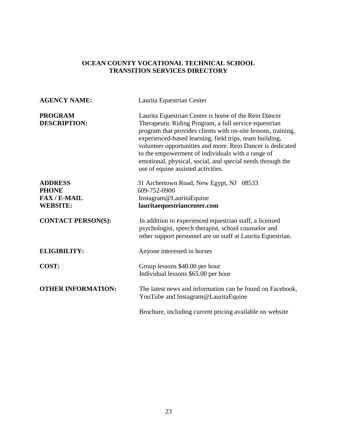| <b>AGENCY NAME:</b>                                                    | Laurita Equestrian Center                                                                                                                                                                                                                                                                                                                                                                                                                                        |
|------------------------------------------------------------------------|------------------------------------------------------------------------------------------------------------------------------------------------------------------------------------------------------------------------------------------------------------------------------------------------------------------------------------------------------------------------------------------------------------------------------------------------------------------|
| <b>PROGRAM</b><br><b>DESCRIPTION:</b>                                  | Laurita Equestrian Center is home of the Rein Dancer<br>Therapeutic Riding Program, a full service equestrian<br>program that provides clients with on-site lessons, training,<br>experienced-based learning, field trips, team building,<br>volunteer opportunities and more. Rein Dancer is dedicated<br>to the empowerment of individuals with a range of<br>emotional, physical, social, and special needs through the<br>use of equine assisted activities. |
| <b>ADDRESS</b><br><b>PHONE</b><br><b>FAX/E-MAIL</b><br><b>WEBSITE:</b> | 31 Archertown Road, New Egypt, NJ<br>08533<br>609-752-0900<br>Instagram@LauritaEquine<br>lauritaequestriancenter.com                                                                                                                                                                                                                                                                                                                                             |
| <b>CONTACT PERSON(S):</b>                                              | In addition to experienced equestrian staff, a licensed<br>psychologist, speech therapist, school counselor and<br>other support personnel are on staff at Laurita Equestrian.                                                                                                                                                                                                                                                                                   |
| <b>ELIGIBILITY:</b>                                                    | Anyone interested in horses                                                                                                                                                                                                                                                                                                                                                                                                                                      |
| COST:                                                                  | Group lessons \$40.00 per hour<br>Individual lessons \$65.00 per hour                                                                                                                                                                                                                                                                                                                                                                                            |
| <b>OTHER INFORMATION:</b>                                              | The latest news and information can be found on Facebook,<br>YouTube and Instagram@LauritaEquine                                                                                                                                                                                                                                                                                                                                                                 |
|                                                                        | Brochure, including current pricing available on website                                                                                                                                                                                                                                                                                                                                                                                                         |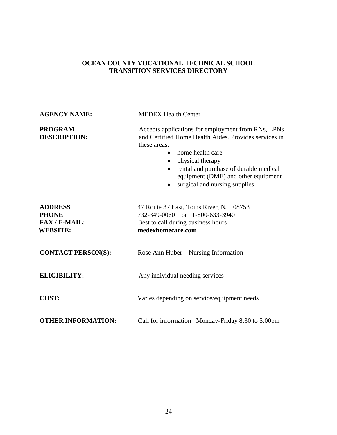| <b>AGENCY NAME:</b>                                                     | <b>MEDEX Health Center</b>                                                                                                                                                                                                                                                                                                                |
|-------------------------------------------------------------------------|-------------------------------------------------------------------------------------------------------------------------------------------------------------------------------------------------------------------------------------------------------------------------------------------------------------------------------------------|
| <b>PROGRAM</b><br><b>DESCRIPTION:</b>                                   | Accepts applications for employment from RNs, LPNs<br>and Certified Home Health Aides. Provides services in<br>these areas:<br>home health care<br>$\bullet$<br>physical therapy<br>$\bullet$<br>rental and purchase of durable medical<br>$\bullet$<br>equipment (DME) and other equipment<br>surgical and nursing supplies<br>$\bullet$ |
| <b>ADDRESS</b><br><b>PHONE</b><br><b>FAX/E-MAIL:</b><br><b>WEBSITE:</b> | 47 Route 37 East, Toms River, NJ 08753<br>732-349-0060 or 1-800-633-3940<br>Best to call during business hours<br>medexhomecare.com                                                                                                                                                                                                       |
| <b>CONTACT PERSON(S):</b>                                               | Rose Ann Huber – Nursing Information                                                                                                                                                                                                                                                                                                      |
| <b>ELIGIBILITY:</b>                                                     | Any individual needing services                                                                                                                                                                                                                                                                                                           |
| <b>COST:</b>                                                            | Varies depending on service/equipment needs                                                                                                                                                                                                                                                                                               |
| <b>OTHER INFORMATION:</b>                                               | Call for information Monday-Friday 8:30 to 5:00pm                                                                                                                                                                                                                                                                                         |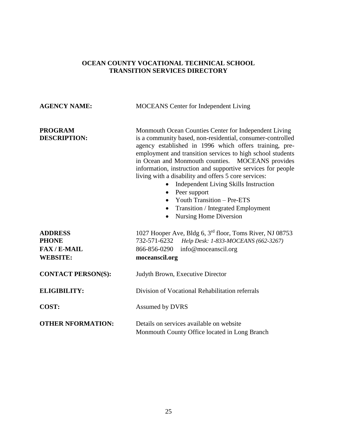| <b>AGENCY NAME:</b>                                                    | <b>MOCEANS</b> Center for Independent Living                                                                                                                                                                                                                                                                                                                                                                                                                                                                                                                                                                                             |
|------------------------------------------------------------------------|------------------------------------------------------------------------------------------------------------------------------------------------------------------------------------------------------------------------------------------------------------------------------------------------------------------------------------------------------------------------------------------------------------------------------------------------------------------------------------------------------------------------------------------------------------------------------------------------------------------------------------------|
| <b>PROGRAM</b><br><b>DESCRIPTION:</b>                                  | Monmouth Ocean Counties Center for Independent Living<br>is a community based, non-residential, consumer-controlled<br>agency established in 1996 which offers training, pre-<br>employment and transition services to high school students<br>in Ocean and Monmouth counties. MOCEANS provides<br>information, instruction and supportive services for people<br>living with a disability and offers 5 core services:<br>Independent Living Skills Instruction<br>Peer support<br>$\bullet$<br>Youth Transition - Pre-ETS<br>$\bullet$<br>Transition / Integrated Employment<br>$\bullet$<br><b>Nursing Home Diversion</b><br>$\bullet$ |
| <b>ADDRESS</b><br><b>PHONE</b><br><b>FAX/E-MAIL</b><br><b>WEBSITE:</b> | 1027 Hooper Ave, Bldg 6, 3 <sup>rd</sup> floor, Toms River, NJ 08753<br>732-571-6232<br>Help Desk: 1-833-MOCEANS (662-3267)<br>866-856-0290<br>info@moceanscil.org<br>moceanscil.org                                                                                                                                                                                                                                                                                                                                                                                                                                                     |
| <b>CONTACT PERSON(S):</b>                                              | Judyth Brown, Executive Director                                                                                                                                                                                                                                                                                                                                                                                                                                                                                                                                                                                                         |
| <b>ELIGIBILITY:</b>                                                    | Division of Vocational Rehabilitation referrals                                                                                                                                                                                                                                                                                                                                                                                                                                                                                                                                                                                          |
| COST:                                                                  | Assumed by DVRS                                                                                                                                                                                                                                                                                                                                                                                                                                                                                                                                                                                                                          |
| <b>OTHER NFORMATION:</b>                                               | Details on services available on website<br>Monmouth County Office located in Long Branch                                                                                                                                                                                                                                                                                                                                                                                                                                                                                                                                                |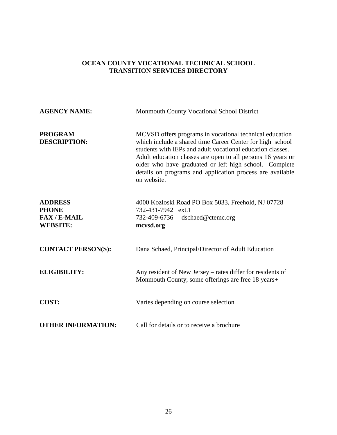| <b>AGENCY NAME:</b>                                                    | Monmouth County Vocational School District                                                                                                                                                                                                                                                                                                                                              |
|------------------------------------------------------------------------|-----------------------------------------------------------------------------------------------------------------------------------------------------------------------------------------------------------------------------------------------------------------------------------------------------------------------------------------------------------------------------------------|
| <b>PROGRAM</b><br><b>DESCRIPTION:</b>                                  | MCVSD offers programs in vocational technical education<br>which include a shared time Career Center for high school<br>students with IEPs and adult vocational education classes.<br>Adult education classes are open to all persons 16 years or<br>older who have graduated or left high school. Complete<br>details on programs and application process are available<br>on website. |
| <b>ADDRESS</b><br><b>PHONE</b><br><b>FAX/E-MAIL</b><br><b>WEBSITE:</b> | 4000 Kozloski Road PO Box 5033, Freehold, NJ 07728<br>732-431-7942 ext.1<br>732-409-6736<br>dschaed@ctemc.org<br>mcvsd.org                                                                                                                                                                                                                                                              |
| <b>CONTACT PERSON(S):</b>                                              | Dana Schaed, Principal/Director of Adult Education                                                                                                                                                                                                                                                                                                                                      |
| <b>ELIGIBILITY:</b>                                                    | Any resident of New Jersey – rates differ for residents of<br>Monmouth County, some offerings are free 18 years+                                                                                                                                                                                                                                                                        |
| <b>COST:</b>                                                           | Varies depending on course selection                                                                                                                                                                                                                                                                                                                                                    |
| <b>OTHER INFORMATION:</b>                                              | Call for details or to receive a brochure                                                                                                                                                                                                                                                                                                                                               |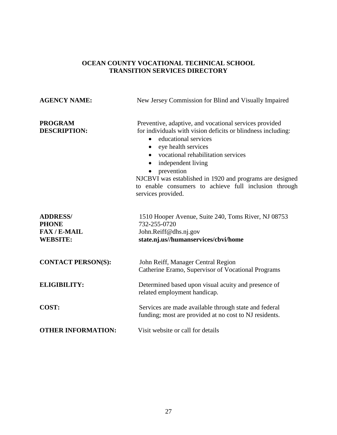| <b>AGENCY NAME:</b>                                                     | New Jersey Commission for Blind and Visually Impaired                                                                                                                                                                                                                                                                                                                                                                             |
|-------------------------------------------------------------------------|-----------------------------------------------------------------------------------------------------------------------------------------------------------------------------------------------------------------------------------------------------------------------------------------------------------------------------------------------------------------------------------------------------------------------------------|
| <b>PROGRAM</b><br><b>DESCRIPTION:</b>                                   | Preventive, adaptive, and vocational services provided<br>for individuals with vision deficits or blindness including:<br>educational services<br>$\bullet$<br>eye health services<br>$\bullet$<br>vocational rehabilitation services<br>independent living<br>$\bullet$<br>prevention<br>NJCBVI was established in 1920 and programs are designed<br>to enable consumers to achieve full inclusion through<br>services provided. |
| <b>ADDRESS/</b><br><b>PHONE</b><br><b>FAX/E-MAIL</b><br><b>WEBSITE:</b> | 1510 Hooper Avenue, Suite 240, Toms River, NJ 08753<br>732-255-0720<br>John.Reiff@dhs.nj.gov<br>state.nj.us//humanservices/cbvi/home                                                                                                                                                                                                                                                                                              |
| <b>CONTACT PERSON(S):</b>                                               | John Reiff, Manager Central Region<br>Catherine Eramo, Supervisor of Vocational Programs                                                                                                                                                                                                                                                                                                                                          |
| <b>ELIGIBILITY:</b>                                                     | Determined based upon visual acuity and presence of<br>related employment handicap.                                                                                                                                                                                                                                                                                                                                               |
| COST:                                                                   | Services are made available through state and federal<br>funding; most are provided at no cost to NJ residents.                                                                                                                                                                                                                                                                                                                   |
| <b>OTHER INFORMATION:</b>                                               | Visit website or call for details                                                                                                                                                                                                                                                                                                                                                                                                 |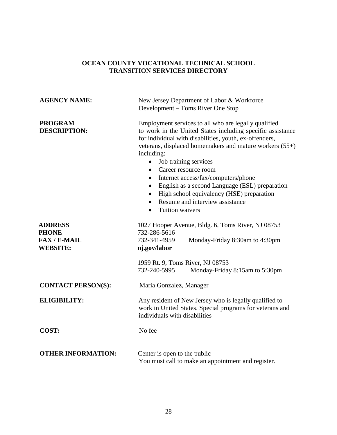| <b>AGENCY NAME:</b>                                                    | New Jersey Department of Labor & Workforce<br>Development – Toms River One Stop                                                                                                                                                                                                                                                                                                                                                                                                                                                                                                    |  |
|------------------------------------------------------------------------|------------------------------------------------------------------------------------------------------------------------------------------------------------------------------------------------------------------------------------------------------------------------------------------------------------------------------------------------------------------------------------------------------------------------------------------------------------------------------------------------------------------------------------------------------------------------------------|--|
| <b>PROGRAM</b><br><b>DESCRIPTION:</b>                                  | Employment services to all who are legally qualified<br>to work in the United States including specific assistance<br>for individual with disabilities, youth, ex-offenders,<br>veterans, displaced homemakers and mature workers (55+)<br>including:<br>Job training services<br>$\bullet$<br>• Career resource room<br>Internet access/fax/computers/phone<br>$\bullet$<br>English as a second Language (ESL) preparation<br>$\bullet$<br>High school equivalency (HSE) preparation<br>$\bullet$<br>Resume and interview assistance<br>$\bullet$<br>Tuition waivers<br>$\bullet$ |  |
| <b>ADDRESS</b><br><b>PHONE</b><br><b>FAX/E-MAIL</b><br><b>WEBSITE:</b> | 1027 Hooper Avenue, Bldg. 6, Toms River, NJ 08753<br>732-286-5616<br>732-341-4959<br>Monday-Friday 8:30am to 4:30pm<br>nj.gov/labor                                                                                                                                                                                                                                                                                                                                                                                                                                                |  |
|                                                                        | 1959 Rt. 9, Toms River, NJ 08753<br>732-240-5995<br>Monday-Friday 8:15am to 5:30pm                                                                                                                                                                                                                                                                                                                                                                                                                                                                                                 |  |
| <b>CONTACT PERSON(S):</b>                                              | Maria Gonzalez, Manager                                                                                                                                                                                                                                                                                                                                                                                                                                                                                                                                                            |  |
| <b>ELIGIBILITY:</b>                                                    | Any resident of New Jersey who is legally qualified to<br>work in United States. Special programs for veterans and<br>individuals with disabilities                                                                                                                                                                                                                                                                                                                                                                                                                                |  |
| COST:                                                                  | No fee                                                                                                                                                                                                                                                                                                                                                                                                                                                                                                                                                                             |  |
| <b>OTHER INFORMATION:</b>                                              | Center is open to the public<br>You must call to make an appointment and register.                                                                                                                                                                                                                                                                                                                                                                                                                                                                                                 |  |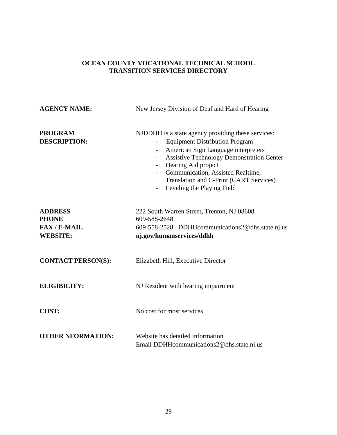| <b>AGENCY NAME:</b>                                                    | New Jersey Division of Deaf and Hard of Hearing                                                                                                                                                                                                                                                                                                         |  |
|------------------------------------------------------------------------|---------------------------------------------------------------------------------------------------------------------------------------------------------------------------------------------------------------------------------------------------------------------------------------------------------------------------------------------------------|--|
| <b>PROGRAM</b><br><b>DESCRIPTION:</b>                                  | NJDDHH is a state agency providing these services:<br><b>Equipment Distribution Program</b><br>American Sign Language interpreters<br><b>Assistive Technology Demonstration Center</b><br>$\overline{\phantom{a}}$<br>Hearing Aid project<br>Communication, Assisted Realtime,<br>Translation and C-Print (CART Services)<br>Leveling the Playing Field |  |
| <b>ADDRESS</b><br><b>PHONE</b><br><b>FAX/E-MAIL</b><br><b>WEBSITE:</b> | 222 South Warren Street, Trenton, NJ 08608<br>609-588-2648<br>609-558-2528 DDHHcommunications2@dhs.state.nj.us<br>nj.gov/humanservices/ddhh                                                                                                                                                                                                             |  |
| <b>CONTACT PERSON(S):</b>                                              | Elizabeth Hill, Executive Director                                                                                                                                                                                                                                                                                                                      |  |
| <b>ELIGIBILITY:</b>                                                    | NJ Resident with hearing impairment                                                                                                                                                                                                                                                                                                                     |  |
| COST:                                                                  | No cost for most services                                                                                                                                                                                                                                                                                                                               |  |
| <b>OTHER NFORMATION:</b>                                               | Website has detailed information<br>Email DDHHcommunications2@dhs.state.nj.us                                                                                                                                                                                                                                                                           |  |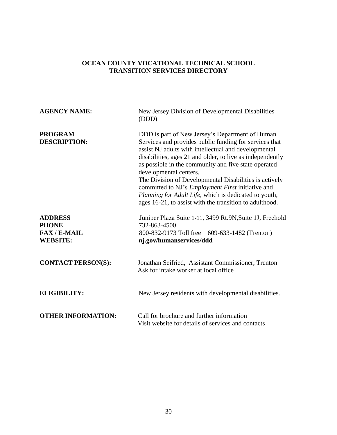| <b>AGENCY NAME:</b>                                                    | New Jersey Division of Developmental Disabilities<br>(DDD)                                                                                                                                                                                                                                                                                                                                                                                                                                                                                                 |
|------------------------------------------------------------------------|------------------------------------------------------------------------------------------------------------------------------------------------------------------------------------------------------------------------------------------------------------------------------------------------------------------------------------------------------------------------------------------------------------------------------------------------------------------------------------------------------------------------------------------------------------|
| <b>PROGRAM</b><br><b>DESCRIPTION:</b>                                  | DDD is part of New Jersey's Department of Human<br>Services and provides public funding for services that<br>assist NJ adults with intellectual and developmental<br>disabilities, ages 21 and older, to live as independently<br>as possible in the community and five state operated<br>developmental centers.<br>The Division of Developmental Disabilities is actively<br>committed to NJ's <i>Employment First</i> initiative and<br>Planning for Adult Life, which is dedicated to youth,<br>ages 16-21, to assist with the transition to adulthood. |
| <b>ADDRESS</b><br><b>PHONE</b><br><b>FAX/E-MAIL</b><br><b>WEBSITE:</b> | Juniper Plaza Suite 1-11, 3499 Rt.9N, Suite 1J, Freehold<br>732-863-4500<br>800-832-9173 Toll free 609-633-1482 (Trenton)<br>nj.gov/humanservices/ddd                                                                                                                                                                                                                                                                                                                                                                                                      |
| <b>CONTACT PERSON(S):</b>                                              | Jonathan Seifried, Assistant Commissioner, Trenton<br>Ask for intake worker at local office                                                                                                                                                                                                                                                                                                                                                                                                                                                                |
| <b>ELIGIBILITY:</b>                                                    | New Jersey residents with developmental disabilities.                                                                                                                                                                                                                                                                                                                                                                                                                                                                                                      |
| <b>OTHER INFORMATION:</b>                                              | Call for brochure and further information<br>Visit website for details of services and contacts                                                                                                                                                                                                                                                                                                                                                                                                                                                            |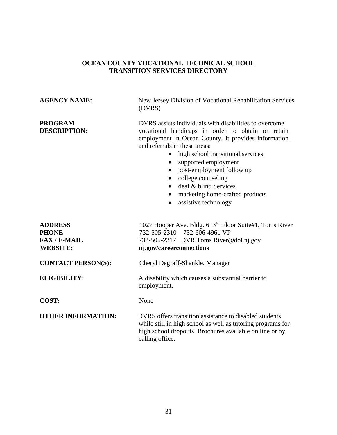# **AGENCY NAME:** New Jersey Division of Vocational Rehabilitation Services (DVRS) **PROGRAM DVRS** assists individuals with disabilities to overcome **DESCRIPTION:** vocational handicaps in order to obtain or retain employment in Ocean County. It provides information and referrals in these areas: • high school transitional services • supported employment • post-employment follow up • college counseling • deaf & blind Services • marketing home-crafted products • assistive technology ADDRESS 1027 Hooper Ave. Bldg. 6 3<sup>rd</sup> Floor Suite#1, Toms River **PHONE** 732-505-2310 732-606-4961 VP **FAX / E-MAIL** 732-505-2317DVR.Toms River@dol.nj.gov **WEBSITE:** nj.gov/careerconnections **CONTACT PERSON(S):** Cheryl Degraff-Shankle, Manager **ELIGIBILITY:** A disability which causes a substantial barrier to employment. **COST:** None **OTHER INFORMATION:** DVRS offers transition assistance to disabled students while still in high school as well as tutoring programs for high school dropouts. Brochures available on line or by calling office.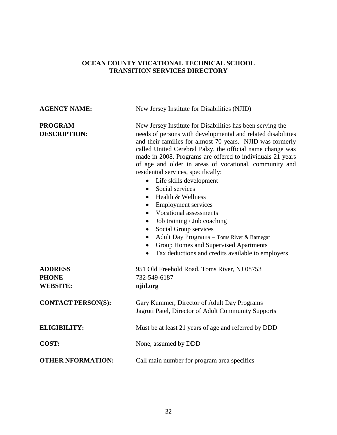| <b>AGENCY NAME:</b>                               | New Jersey Institute for Disabilities (NJID)                                                                                                                                                                                                                                                                                                                                                                                                                                                                                                                                                                                                                                                                                                                                                                                                                                                 |  |
|---------------------------------------------------|----------------------------------------------------------------------------------------------------------------------------------------------------------------------------------------------------------------------------------------------------------------------------------------------------------------------------------------------------------------------------------------------------------------------------------------------------------------------------------------------------------------------------------------------------------------------------------------------------------------------------------------------------------------------------------------------------------------------------------------------------------------------------------------------------------------------------------------------------------------------------------------------|--|
| <b>PROGRAM</b><br><b>DESCRIPTION:</b>             | New Jersey Institute for Disabilities has been serving the<br>needs of persons with developmental and related disabilities<br>and their families for almost 70 years. NJID was formerly<br>called United Cerebral Palsy, the official name change was<br>made in 2008. Programs are offered to individuals 21 years<br>of age and older in areas of vocational, community and<br>residential services, specifically:<br>Life skills development<br>$\bullet$<br>Social services<br>$\bullet$<br>Health & Wellness<br>$\bullet$<br><b>Employment services</b><br>$\bullet$<br><b>Vocational assessments</b><br>$\bullet$<br>Job training / Job coaching<br>$\bullet$<br>Social Group services<br>$\bullet$<br>Adult Day Programs - Toms River & Barnegat<br>$\bullet$<br>Group Homes and Supervised Apartments<br>$\bullet$<br>Tax deductions and credits available to employers<br>$\bullet$ |  |
| <b>ADDRESS</b><br><b>PHONE</b><br><b>WEBSITE:</b> | 951 Old Freehold Road, Toms River, NJ 08753<br>732-549-6187<br>njid.org                                                                                                                                                                                                                                                                                                                                                                                                                                                                                                                                                                                                                                                                                                                                                                                                                      |  |
| <b>CONTACT PERSON(S):</b>                         | Gary Kummer, Director of Adult Day Programs<br>Jagruti Patel, Director of Adult Community Supports                                                                                                                                                                                                                                                                                                                                                                                                                                                                                                                                                                                                                                                                                                                                                                                           |  |
| <b>ELIGIBILITY:</b>                               | Must be at least 21 years of age and referred by DDD                                                                                                                                                                                                                                                                                                                                                                                                                                                                                                                                                                                                                                                                                                                                                                                                                                         |  |
| COST:                                             | None, assumed by DDD                                                                                                                                                                                                                                                                                                                                                                                                                                                                                                                                                                                                                                                                                                                                                                                                                                                                         |  |
| <b>OTHER NFORMATION:</b>                          | Call main number for program area specifics                                                                                                                                                                                                                                                                                                                                                                                                                                                                                                                                                                                                                                                                                                                                                                                                                                                  |  |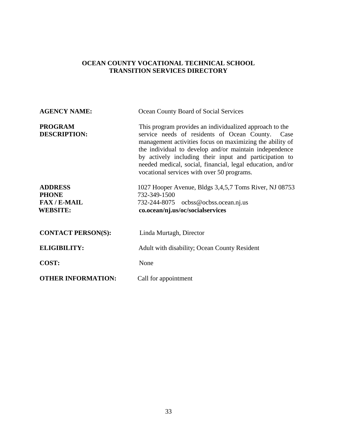| <b>AGENCY NAME:</b>                                                    | Ocean County Board of Social Services                                                                                                                                                                                                                                                                                                                                                                   |  |
|------------------------------------------------------------------------|---------------------------------------------------------------------------------------------------------------------------------------------------------------------------------------------------------------------------------------------------------------------------------------------------------------------------------------------------------------------------------------------------------|--|
| <b>PROGRAM</b><br><b>DESCRIPTION:</b>                                  | This program provides an individualized approach to the<br>service needs of residents of Ocean County. Case<br>management activities focus on maximizing the ability of<br>the individual to develop and/or maintain independence<br>by actively including their input and participation to<br>needed medical, social, financial, legal education, and/or<br>vocational services with over 50 programs. |  |
| <b>ADDRESS</b><br><b>PHONE</b><br><b>FAX/E-MAIL</b><br><b>WEBSITE:</b> | 1027 Hooper Avenue, Bldgs 3,4,5,7 Toms River, NJ 08753<br>732-349-1500<br>732-244-8075 ocbss@ocbss.ocean.nj.us<br>co.ocean/nj.us/oc/socialservices                                                                                                                                                                                                                                                      |  |
| <b>CONTACT PERSON(S):</b>                                              | Linda Murtagh, Director                                                                                                                                                                                                                                                                                                                                                                                 |  |
| <b>ELIGIBILITY:</b>                                                    | Adult with disability; Ocean County Resident                                                                                                                                                                                                                                                                                                                                                            |  |
| COST:                                                                  | None                                                                                                                                                                                                                                                                                                                                                                                                    |  |
| <b>OTHER INFORMATION:</b>                                              | Call for appointment                                                                                                                                                                                                                                                                                                                                                                                    |  |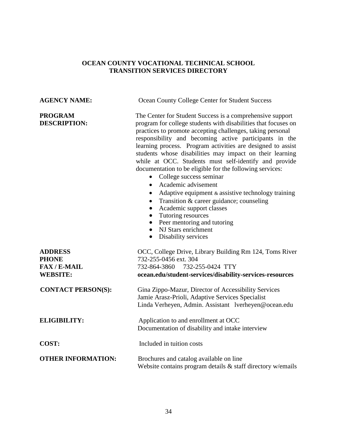**AGENCY NAME:** Ocean County College Center for Student Success

**PROGRAM** The Center for Student Success is a comprehensive support **DESCRIPTION:** program for college students with disabilities that focuses on practices to promote accepting challenges, taking personal responsibility and becoming active participants in the learning process. Program activities are designed to assist students whose disabilities may impact on their learning while at OCC. Students must self-identify and provide documentation to be eligible for the following services:

- College success seminar
- Academic advisement
- Adaptive equipment  $&$  assistive technology training
- Transition & career guidance; counseling
- Academic support classes
- Tutoring resources
- Peer mentoring and tutoring
- NJ Stars enrichment
- Disability services

| <b>ADDRESS</b><br><b>PHONE</b><br>$FAX/E-MAIL$<br><b>WEBSITE:</b> | OCC, College Drive, Library Building Rm 124, Toms River<br>732-255-0456 ext. 304<br>732-864-3860 732-255-0424 TTY<br>ocean.edu/student-services/disability-services-resources |
|-------------------------------------------------------------------|-------------------------------------------------------------------------------------------------------------------------------------------------------------------------------|
| <b>CONTACT PERSON(S):</b>                                         | Gina Zippo-Mazur, Director of Accessibility Services<br>Jamie Arasz-Prioli, Adaptive Services Specialist<br>Linda Verheyen, Admin. Assistant lverheyen@ocean.edu              |
| <b>ELIGIBILITY:</b>                                               | Application to and enrollment at OCC<br>Documentation of disability and intake interview                                                                                      |
| COST:                                                             | Included in tuition costs                                                                                                                                                     |
| <b>OTHER INFORMATION:</b>                                         | Brochures and catalog available on line<br>Website contains program details $\&$ staff directory w/emails                                                                     |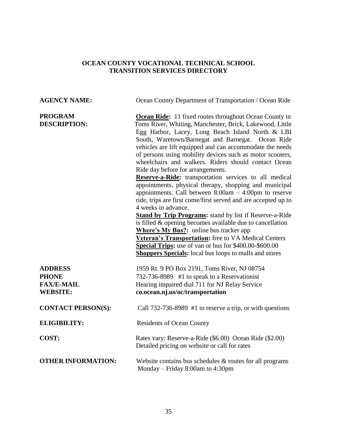| <b>AGENCY NAME:</b>                                                    | Ocean County Department of Transportation / Ocean Ride                                                                                                                                                                                                                                                                                                                                                                                                                                                                                                                                                                                                                                                                                                                                                                                                                                                                                                                                                                                                                                               |
|------------------------------------------------------------------------|------------------------------------------------------------------------------------------------------------------------------------------------------------------------------------------------------------------------------------------------------------------------------------------------------------------------------------------------------------------------------------------------------------------------------------------------------------------------------------------------------------------------------------------------------------------------------------------------------------------------------------------------------------------------------------------------------------------------------------------------------------------------------------------------------------------------------------------------------------------------------------------------------------------------------------------------------------------------------------------------------------------------------------------------------------------------------------------------------|
| <b>PROGRAM</b><br><b>DESCRIPTION:</b>                                  | <b>Ocean Ride:</b> 11 fixed routes throughout Ocean County in<br>Toms River, Whiting, Manchester, Brick, Lakewood, Little<br>Egg Harbor, Lacey, Long Beach Island North & LBI<br>South, Waretown/Barnegat and Barnegat. Ocean Ride<br>vehicles are lift equipped and can accommodate the needs<br>of persons using mobility devices such as motor scooters,<br>wheelchairs and walkers. Riders should contact Ocean<br>Ride day before for arrangements.<br>Reserve-a-Ride: transportation services to all medical<br>appointments, physical therapy, shopping and municipal<br>appointments. Call between $8:00am - 4:00pm$ to reserve<br>ride, trips are first come/first served and are accepted up to<br>4 weeks in advance.<br><b>Stand by Trip Programs:</b> stand by list if Reserve-a-Ride<br>is filled & opening becomes available due to cancellation<br><b>Where's My Bus?:</b> online bus tracker app<br>Veteran's Transportation: free to VA Medical Centers<br>Special Trips: use of van or bus for \$400.00-\$600.00<br><b>Shoppers Specials:</b> local bus loops to malls and stores |
| <b>ADDRESS</b><br><b>PHONE</b><br><b>FAX/E-MAIL</b><br><b>WEBSITE:</b> | 1959 Rt. 9 PO Box 2191, Toms River, NJ 08754<br>732-736-8989 #1 to speak to a Reservationist<br>Hearing impaired dial 711 for NJ Relay Service<br>co.ocean.nj.us/oc/transportation                                                                                                                                                                                                                                                                                                                                                                                                                                                                                                                                                                                                                                                                                                                                                                                                                                                                                                                   |
| <b>CONTACT PERSON(S):</b>                                              | Call 732-736-8989 #1 to reserve a trip, or with questions                                                                                                                                                                                                                                                                                                                                                                                                                                                                                                                                                                                                                                                                                                                                                                                                                                                                                                                                                                                                                                            |
| <b>ELIGIBILITY:</b>                                                    | <b>Residents of Ocean County</b>                                                                                                                                                                                                                                                                                                                                                                                                                                                                                                                                                                                                                                                                                                                                                                                                                                                                                                                                                                                                                                                                     |
| COST:                                                                  | Rates vary: Reserve-a-Ride (\$6.00) Ocean Ride (\$2.00)<br>Detailed pricing on website or call for rates                                                                                                                                                                                                                                                                                                                                                                                                                                                                                                                                                                                                                                                                                                                                                                                                                                                                                                                                                                                             |
| <b>OTHER INFORMATION:</b>                                              | Website contains bus schedules $&$ routes for all programs<br>Monday - Friday 8:00am to 4:30pm                                                                                                                                                                                                                                                                                                                                                                                                                                                                                                                                                                                                                                                                                                                                                                                                                                                                                                                                                                                                       |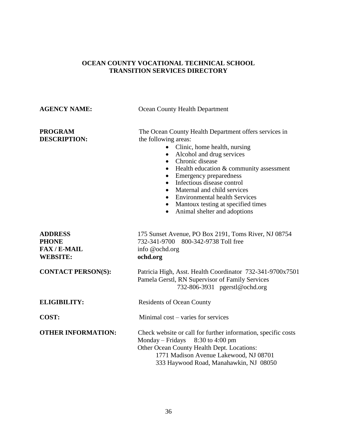| <b>AGENCY NAME:</b>                                                    | Ocean County Health Department                                                                                                                                                                                                                                                                                                                                                                                                                              |  |
|------------------------------------------------------------------------|-------------------------------------------------------------------------------------------------------------------------------------------------------------------------------------------------------------------------------------------------------------------------------------------------------------------------------------------------------------------------------------------------------------------------------------------------------------|--|
| <b>PROGRAM</b><br><b>DESCRIPTION:</b>                                  | The Ocean County Health Department offers services in<br>the following areas:<br>Clinic, home health, nursing<br>$\bullet$<br>Alcohol and drug services<br>$\bullet$<br>Chronic disease<br>$\bullet$<br>Health education & community assessment<br><b>Emergency preparedness</b><br>Infectious disease control<br>Maternal and child services<br><b>Environmental health Services</b><br>Mantoux testing at specified times<br>Animal shelter and adoptions |  |
| <b>ADDRESS</b><br><b>PHONE</b><br><b>FAX/E-MAIL</b><br><b>WEBSITE:</b> | 175 Sunset Avenue, PO Box 2191, Toms River, NJ 08754<br>732-341-9700 800-342-9738 Toll free<br>info @ochd.org<br>ochd.org                                                                                                                                                                                                                                                                                                                                   |  |
| <b>CONTACT PERSON(S):</b>                                              | Patricia High, Asst. Health Coordinator 732-341-9700x7501<br>Pamela Gerstl, RN Supervisor of Family Services<br>732-806-3931 pgerstl@ochd.org                                                                                                                                                                                                                                                                                                               |  |
| <b>ELIGIBILITY:</b>                                                    | <b>Residents of Ocean County</b>                                                                                                                                                                                                                                                                                                                                                                                                                            |  |
| <b>COST:</b>                                                           | Minimal cost – varies for services                                                                                                                                                                                                                                                                                                                                                                                                                          |  |
| <b>OTHER INFORMATION:</b>                                              | Check website or call for further information, specific costs<br>8:30 to 4:00 pm<br>$Monday-Fridays$<br>Other Ocean County Health Dept. Locations:<br>1771 Madison Avenue Lakewood, NJ 08701<br>333 Haywood Road, Manahawkin, NJ 08050                                                                                                                                                                                                                      |  |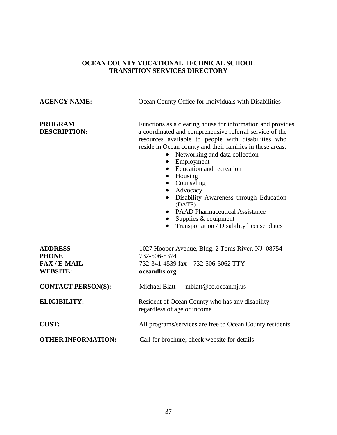**AGENCY NAME:** Ocean County Office for Individuals with Disabilities

**PROGRAM** Functions as a clearing house for information and provides **DESCRIPTION:** a coordinated and comprehensive referral service of the resources available to people with disabilities who reside in Ocean county and their families in these areas:

- Networking and data collection
- Employment
- Education and recreation
- Housing
- Counseling
- Advocacy
- Disability Awareness through Education (DATE)
- PAAD Pharmaceutical Assistance
- $\bullet$  Supplies & equipment
- Transportation  $\overline{\phantom{a}}$  Disability license plates

| <b>ADDRESS</b><br><b>PHONE</b><br><b>FAX/E-MAIL</b><br><b>WEBSITE:</b> | 1027 Hooper Avenue, Bldg. 2 Toms River, NJ 08754<br>732-506-5374<br>732-341-4539 fax 732-506-5062 TTY<br>oceandhs.org |  |
|------------------------------------------------------------------------|-----------------------------------------------------------------------------------------------------------------------|--|
| <b>CONTACT PERSON(S):</b>                                              | Michael Blatt<br>mblatt@co.ocean.nj.us                                                                                |  |
| <b>ELIGIBILITY:</b>                                                    | Resident of Ocean County who has any disability<br>regardless of age or income                                        |  |
| COST:                                                                  | All programs/services are free to Ocean County residents                                                              |  |
| <b>OTHER INFORMATION:</b>                                              | Call for brochure; check website for details                                                                          |  |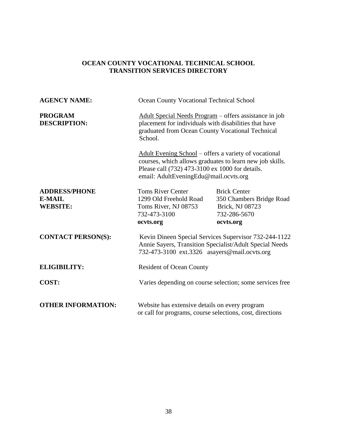| <b>AGENCY NAME:</b>                                      | Ocean County Vocational Technical School                                                                                                                                                                      |                                                                                                 |
|----------------------------------------------------------|---------------------------------------------------------------------------------------------------------------------------------------------------------------------------------------------------------------|-------------------------------------------------------------------------------------------------|
| <b>PROGRAM</b><br><b>DESCRIPTION:</b>                    | Adult Special Needs Program – offers assistance in job<br>placement for individuals with disabilities that have<br>graduated from Ocean County Vocational Technical<br>School.                                |                                                                                                 |
|                                                          | Adult Evening School – offers a variety of vocational<br>courses, which allows graduates to learn new job skills.<br>Please call (732) 473-3100 ex 1000 for details.<br>email: AdultEveningEdu@mail.ocvts.org |                                                                                                 |
| <b>ADDRESS/PHONE</b><br><b>E-MAIL</b><br><b>WEBSITE:</b> | <b>Toms River Center</b><br>1299 Old Freehold Road<br>Toms River, NJ 08753<br>732-473-3100<br>ocvts.org                                                                                                       | <b>Brick Center</b><br>350 Chambers Bridge Road<br>Brick, NJ 08723<br>732-286-5670<br>ocvts.org |
| <b>CONTACT PERSON(S):</b>                                | Kevin Dineen Special Services Supervisor 732-244-1122<br>Annie Sayers, Transition Specialist/Adult Special Needs<br>732-473-3100 ext.3326 asayers@mail.ocvts.org                                              |                                                                                                 |
| <b>ELIGIBILITY:</b>                                      | <b>Resident of Ocean County</b>                                                                                                                                                                               |                                                                                                 |
| <b>COST:</b>                                             | Varies depending on course selection; some services free                                                                                                                                                      |                                                                                                 |
| <b>OTHER INFORMATION:</b>                                | Website has extensive details on every program<br>or call for programs, course selections, cost, directions                                                                                                   |                                                                                                 |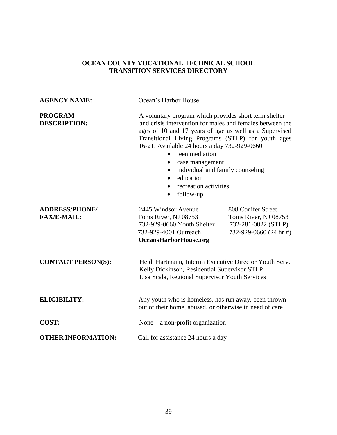| <b>AGENCY NAME:</b>                         | Ocean's Harbor House                                                                                                                                                                                                                                                                                                                                                                                                                                               |                                                                                             |
|---------------------------------------------|--------------------------------------------------------------------------------------------------------------------------------------------------------------------------------------------------------------------------------------------------------------------------------------------------------------------------------------------------------------------------------------------------------------------------------------------------------------------|---------------------------------------------------------------------------------------------|
| <b>PROGRAM</b><br><b>DESCRIPTION:</b>       | A voluntary program which provides short term shelter<br>and crisis intervention for males and females between the<br>ages of 10 and 17 years of age as well as a Supervised<br>Transitional Living Programs (STLP) for youth ages<br>16-21. Available 24 hours a day 732-929-0660<br>teen mediation<br>case management<br>$\bullet$<br>individual and family counseling<br>education<br>$\bullet$<br>recreation activities<br>$\bullet$<br>follow-up<br>$\bullet$ |                                                                                             |
| <b>ADDRESS/PHONE/</b><br><b>FAX/E-MAIL:</b> | 2445 Windsor Avenue<br>Toms River, NJ 08753<br>732-929-0660 Youth Shelter<br>732-929-4001 Outreach<br>OceansHarborHouse.org                                                                                                                                                                                                                                                                                                                                        | 808 Conifer Street<br>Toms River, NJ 08753<br>732-281-0822 (STLP)<br>732-929-0660 (24 hr #) |
| <b>CONTACT PERSON(S):</b>                   | Heidi Hartmann, Interim Executive Director Youth Serv.<br>Kelly Dickinson, Residential Supervisor STLP<br>Lisa Scala, Regional Supervisor Youth Services                                                                                                                                                                                                                                                                                                           |                                                                                             |
| <b>ELIGIBILITY:</b>                         | Any youth who is homeless, has run away, been thrown<br>out of their home, abused, or otherwise in need of care                                                                                                                                                                                                                                                                                                                                                    |                                                                                             |
| <b>COST:</b>                                | None $-$ a non-profit organization                                                                                                                                                                                                                                                                                                                                                                                                                                 |                                                                                             |
| <b>OTHER INFORMATION:</b>                   | Call for assistance 24 hours a day                                                                                                                                                                                                                                                                                                                                                                                                                                 |                                                                                             |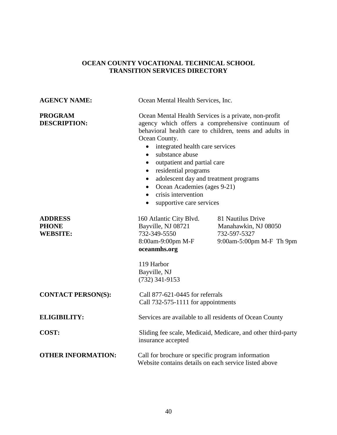| <b>AGENCY NAME:</b>                               | Ocean Mental Health Services, Inc.                                                                                                                                                                                                                                                                                                                                                                                                                                                                                                    |                                                                                       |
|---------------------------------------------------|---------------------------------------------------------------------------------------------------------------------------------------------------------------------------------------------------------------------------------------------------------------------------------------------------------------------------------------------------------------------------------------------------------------------------------------------------------------------------------------------------------------------------------------|---------------------------------------------------------------------------------------|
| <b>PROGRAM</b><br><b>DESCRIPTION:</b>             | Ocean Mental Health Services is a private, non-profit<br>agency which offers a comprehensive continuum of<br>behavioral health care to children, teens and adults in<br>Ocean County.<br>integrated health care services<br>$\bullet$<br>substance abuse<br>$\bullet$<br>outpatient and partial care<br>$\bullet$<br>residential programs<br>$\bullet$<br>adolescent day and treatment programs<br>$\bullet$<br>Ocean Academies (ages 9-21)<br>$\bullet$<br>crisis intervention<br>$\bullet$<br>supportive care services<br>$\bullet$ |                                                                                       |
| <b>ADDRESS</b><br><b>PHONE</b><br><b>WEBSITE:</b> | 160 Atlantic City Blvd.<br>Bayville, NJ 08721<br>732-349-5550<br>8:00am-9:00pm M-F<br>oceanmhs.org<br>119 Harbor<br>Bayville, NJ<br>$(732)$ 341-9153                                                                                                                                                                                                                                                                                                                                                                                  | 81 Nautilus Drive<br>Manahawkin, NJ 08050<br>732-597-5327<br>9:00am-5:00pm M-F Th 9pm |
| <b>CONTACT PERSON(S):</b>                         | Call 877-621-0445 for referrals<br>Call 732-575-1111 for appointments                                                                                                                                                                                                                                                                                                                                                                                                                                                                 |                                                                                       |
| <b>ELIGIBILITY:</b>                               | Services are available to all residents of Ocean County                                                                                                                                                                                                                                                                                                                                                                                                                                                                               |                                                                                       |
| COST:                                             | Sliding fee scale, Medicaid, Medicare, and other third-party<br>insurance accepted                                                                                                                                                                                                                                                                                                                                                                                                                                                    |                                                                                       |
| <b>OTHER INFORMATION:</b>                         | Call for brochure or specific program information<br>Website contains details on each service listed above                                                                                                                                                                                                                                                                                                                                                                                                                            |                                                                                       |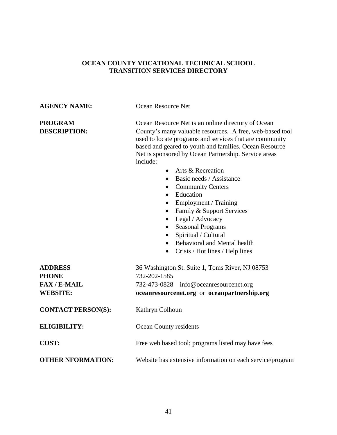# **AGENCY NAME:** Ocean Resource Net **PROGRAM** Ocean Resource Net is an online directory of Ocean **DESCRIPTION:** County's many valuable resources. A free, web-based tool used to locate programs and services that are community based and geared to youth and families. Ocean Resource Net is sponsored by Ocean Partnership. Service areas include: • Arts & Recreation • Basic needs / Assistance • Community Centers • Education • Employment / Training • Family & Support Services • Legal / Advocacy • Seasonal Programs • Spiritual / Cultural • Behavioral and Mental health • Crisis / Hot lines / Help lines **ADDRESS** 36 Washington St. Suite 1, Toms River, NJ 08753 **PHONE** 732-202-1585 **FAX / E-MAIL** 732-473-0828 info@oceanresourcenet.org **WEBSITE: oceanresourcenet.org** or **oceanpartnership.org CONTACT PERSON(S):** Kathryn Colhoun **ELIGIBILITY:** Ocean County residents **COST:** Free web based tool; programs listed may have fees **OTHER NFORMATION:** Website has extensive information on each service/program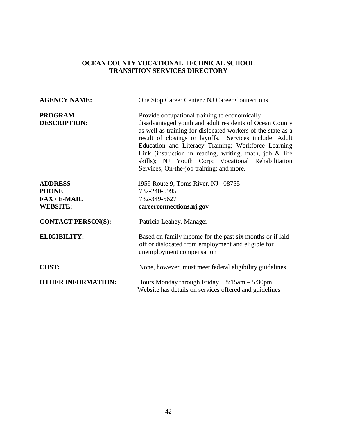| <b>AGENCY NAME:</b>                                                    | One Stop Career Center / NJ Career Connections                                                                                                                                                                                                                                                                                                                                                                                                           |
|------------------------------------------------------------------------|----------------------------------------------------------------------------------------------------------------------------------------------------------------------------------------------------------------------------------------------------------------------------------------------------------------------------------------------------------------------------------------------------------------------------------------------------------|
| <b>PROGRAM</b><br><b>DESCRIPTION:</b>                                  | Provide occupational training to economically<br>disadvantaged youth and adult residents of Ocean County<br>as well as training for dislocated workers of the state as a<br>result of closings or layoffs. Services include: Adult<br>Education and Literacy Training; Workforce Learning<br>Link (instruction in reading, writing, math, job $\&$ life<br>skills); NJ Youth Corp; Vocational Rehabilitation<br>Services; On-the-job training; and more. |
| <b>ADDRESS</b><br><b>PHONE</b><br><b>FAX/E-MAIL</b><br><b>WEBSITE:</b> | 1959 Route 9, Toms River, NJ 08755<br>732-240-5995<br>732-349-5627<br>careerconnections.nj.gov                                                                                                                                                                                                                                                                                                                                                           |
| <b>CONTACT PERSON(S):</b>                                              | Patricia Leahey, Manager                                                                                                                                                                                                                                                                                                                                                                                                                                 |
| <b>ELIGIBILITY:</b>                                                    | Based on family income for the past six months or if laid<br>off or dislocated from employment and eligible for<br>unemployment compensation                                                                                                                                                                                                                                                                                                             |
| <b>COST:</b>                                                           | None, however, must meet federal eligibility guidelines                                                                                                                                                                                                                                                                                                                                                                                                  |
| <b>OTHER INFORMATION:</b>                                              | Hours Monday through Friday $8:15$ am $-5:30$ pm<br>Website has details on services offered and guidelines                                                                                                                                                                                                                                                                                                                                               |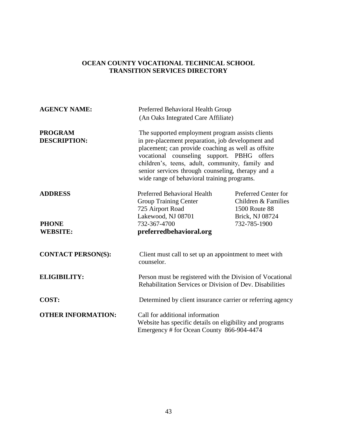| <b>AGENCY NAME:</b>                   | Preferred Behavioral Health Group<br>(An Oaks Integrated Care Affiliate)                                                                                                                                                                                                                                                                                         |                                                                                        |
|---------------------------------------|------------------------------------------------------------------------------------------------------------------------------------------------------------------------------------------------------------------------------------------------------------------------------------------------------------------------------------------------------------------|----------------------------------------------------------------------------------------|
| <b>PROGRAM</b><br><b>DESCRIPTION:</b> | The supported employment program assists clients<br>in pre-placement preparation, job development and<br>placement; can provide coaching as well as offsite<br>vocational counseling support. PBHG offers<br>children's, teens, adult, community, family and<br>senior services through counseling, therapy and a<br>wide range of behavioral training programs. |                                                                                        |
| <b>ADDRESS</b>                        | <b>Preferred Behavioral Health</b><br><b>Group Training Center</b><br>725 Airport Road<br>Lakewood, NJ 08701                                                                                                                                                                                                                                                     | Preferred Center for<br>Children & Families<br><b>1500 Route 88</b><br>Brick, NJ 08724 |
| <b>PHONE</b><br><b>WEBSITE:</b>       | 732-367-4700<br>preferredbehavioral.org                                                                                                                                                                                                                                                                                                                          | 732-785-1900                                                                           |
| <b>CONTACT PERSON(S):</b>             | Client must call to set up an appointment to meet with<br>counselor.                                                                                                                                                                                                                                                                                             |                                                                                        |
| <b>ELIGIBILITY:</b>                   | Person must be registered with the Division of Vocational<br>Rehabilitation Services or Division of Dev. Disabilities                                                                                                                                                                                                                                            |                                                                                        |
| COST:                                 | Determined by client insurance carrier or referring agency                                                                                                                                                                                                                                                                                                       |                                                                                        |
| <b>OTHER INFORMATION:</b>             | Call for additional information<br>Website has specific details on eligibility and programs<br>Emergency # for Ocean County 866-904-4474                                                                                                                                                                                                                         |                                                                                        |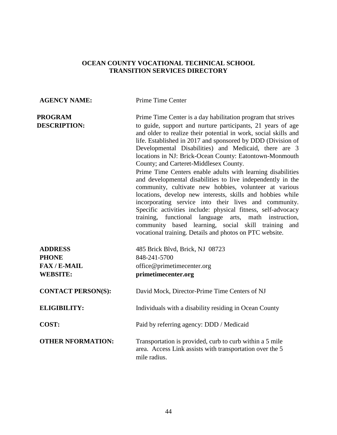#### **AGENCY NAME:** Prime Time Center

**PROGRAM** Prime Time Center is a day habilitation program that strives **DESCRIPTION:** to guide, support and nurture participants, 21 years of age and older to realize their potential in work, social skills and life. Established in 2017 and sponsored by DDD (Division of Developmental Disabilities) and Medicaid, there are 3 locations in NJ: Brick-Ocean County: Eatontown-Monmouth County; and Carteret-Middlesex County.

Prime Time Centers enable adults with learning disabilities and developmental disabilities to live independently in the community, cultivate new hobbies, volunteer at various locations, develop new interests, skills and hobbies while incorporating service into their lives and community. Specific activities include: physical fitness, self-advocacy training, functional language arts, math instruction, community based learning, social skill training and vocational training. Details and photos on PTC website.

| <b>ADDRESS</b><br><b>PHONE</b><br><b>FAX/E-MAIL</b><br><b>WEBSITE:</b> | 485 Brick Blvd, Brick, NJ 08723<br>848-241-5700<br>office@primetimecenter.org<br>primetimecenter.org                                 |
|------------------------------------------------------------------------|--------------------------------------------------------------------------------------------------------------------------------------|
| <b>CONTACT PERSON(S):</b>                                              | David Mock, Director-Prime Time Centers of NJ                                                                                        |
| <b>ELIGIBILITY:</b>                                                    | Individuals with a disability residing in Ocean County                                                                               |
| COST:                                                                  | Paid by referring agency: DDD / Medicaid                                                                                             |
| <b>OTHER NFORMATION:</b>                                               | Transportation is provided, curb to curb within a 5 mile<br>area. Access Link assists with transportation over the 5<br>mile radius. |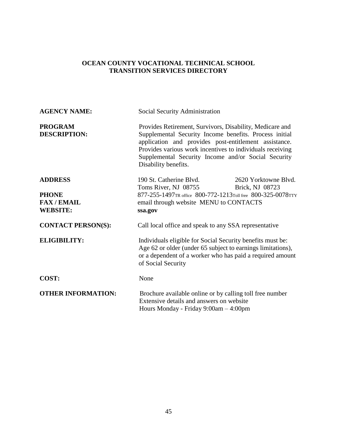| <b>AGENCY NAME:</b>                                                   | Social Security Administration                                                                                                                                                                                                                                                                                          |
|-----------------------------------------------------------------------|-------------------------------------------------------------------------------------------------------------------------------------------------------------------------------------------------------------------------------------------------------------------------------------------------------------------------|
| <b>PROGRAM</b><br><b>DESCRIPTION:</b>                                 | Provides Retirement, Survivors, Disability, Medicare and<br>Supplemental Security Income benefits. Process initial<br>application and provides post-entitlement assistance.<br>Provides various work incentives to individuals receiving<br>Supplemental Security Income and/or Social Security<br>Disability benefits. |
| <b>ADDRESS</b><br><b>PHONE</b><br><b>FAX/EMAIL</b><br><b>WEBSITE:</b> | 190 St. Catherine Blvd.<br>2620 Yorktowne Blvd.<br>Brick, NJ 08723<br>Toms River, NJ 08755<br>877-255-1497TR office 800-772-1213Toll free 800-325-0078TTY<br>email through website MENU to CONTACTS<br>ssa.gov                                                                                                          |
| <b>CONTACT PERSON(S):</b>                                             | Call local office and speak to any SSA representative                                                                                                                                                                                                                                                                   |
| <b>ELIGIBILITY:</b>                                                   | Individuals eligible for Social Security benefits must be:<br>Age 62 or older (under 65 subject to earnings limitations),<br>or a dependent of a worker who has paid a required amount<br>of Social Security                                                                                                            |
| COST:                                                                 | None                                                                                                                                                                                                                                                                                                                    |
| <b>OTHER INFORMATION:</b>                                             | Brochure available online or by calling toll free number<br>Extensive details and answers on website<br>Hours Monday - Friday 9:00am - 4:00pm                                                                                                                                                                           |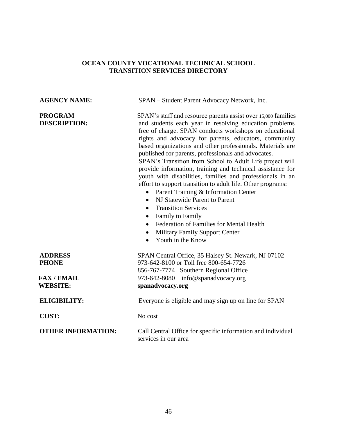| <b>AGENCY NAME:</b>                   | SPAN – Student Parent Advocacy Network, Inc.                                                                                                                                                                                                                                                                                                                                                                                                                                                                                                                                                                                                                                                                                                                                                                                                                                                                                                    |
|---------------------------------------|-------------------------------------------------------------------------------------------------------------------------------------------------------------------------------------------------------------------------------------------------------------------------------------------------------------------------------------------------------------------------------------------------------------------------------------------------------------------------------------------------------------------------------------------------------------------------------------------------------------------------------------------------------------------------------------------------------------------------------------------------------------------------------------------------------------------------------------------------------------------------------------------------------------------------------------------------|
| <b>PROGRAM</b><br><b>DESCRIPTION:</b> | SPAN's staff and resource parents assist over 15,000 families<br>and students each year in resolving education problems<br>free of charge. SPAN conducts workshops on educational<br>rights and advocacy for parents, educators, community<br>based organizations and other professionals. Materials are<br>published for parents, professionals and advocates.<br>SPAN's Transition from School to Adult Life project will<br>provide information, training and technical assistance for<br>youth with disabilities, families and professionals in an<br>effort to support transition to adult life. Other programs:<br>Parent Training & Information Center<br>$\bullet$<br>NJ Statewide Parent to Parent<br>$\bullet$<br><b>Transition Services</b><br>$\bullet$<br>Family to Family<br>$\bullet$<br><b>Federation of Families for Mental Health</b><br>$\bullet$<br><b>Military Family Support Center</b><br>$\bullet$<br>Youth in the Know |
| <b>ADDRESS</b><br><b>PHONE</b>        | SPAN Central Office, 35 Halsey St. Newark, NJ 07102<br>973-642-8100 or Toll free 800-654-7726                                                                                                                                                                                                                                                                                                                                                                                                                                                                                                                                                                                                                                                                                                                                                                                                                                                   |
| <b>FAX/EMAIL</b>                      | 856-767-7774 Southern Regional Office<br>973-642-8080 info@spanadvocacy.org                                                                                                                                                                                                                                                                                                                                                                                                                                                                                                                                                                                                                                                                                                                                                                                                                                                                     |
| <b>WEBSITE:</b>                       | spanadvocacy.org                                                                                                                                                                                                                                                                                                                                                                                                                                                                                                                                                                                                                                                                                                                                                                                                                                                                                                                                |
|                                       |                                                                                                                                                                                                                                                                                                                                                                                                                                                                                                                                                                                                                                                                                                                                                                                                                                                                                                                                                 |
| <b>ELIGIBILITY:</b>                   | Everyone is eligible and may sign up on line for SPAN                                                                                                                                                                                                                                                                                                                                                                                                                                                                                                                                                                                                                                                                                                                                                                                                                                                                                           |
| COST:                                 | No cost                                                                                                                                                                                                                                                                                                                                                                                                                                                                                                                                                                                                                                                                                                                                                                                                                                                                                                                                         |
| <b>OTHER INFORMATION:</b>             | Call Central Office for specific information and individual<br>services in our area                                                                                                                                                                                                                                                                                                                                                                                                                                                                                                                                                                                                                                                                                                                                                                                                                                                             |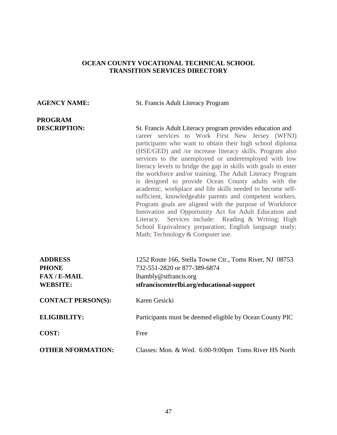# **PROGRAM**

**AGENCY NAME:** St. Francis Adult Literacy Program

**DESCRIPTION:** St. Francis Adult Literacy program provides education and career services to Work First New Jersey (WFNJ) participants who want to obtain their high school diploma (HSE/GED) and /or increase literacy skills. Program also services to the unemployed or underemployed with low literacy levels to bridge the gap in skills with goals to enter the workforce and/or training. The Adult Literacy Program is designed to provide Ocean County adults with the academic, workplace and life skills needed to become selfsufficient, knowledgeable parents and competent workers. Program goals are aligned with the purpose of Workforce Innovation and Opportunity Act for Adult Education and Literacy. Services include: Reading & Writing; High School Equivalency preparation; English language study; Math; Technology & Computer use.

| <b>ADDRESS</b>            | 1252 Route 166, Stella Towne Ctr., Toms River, NJ 08753  |
|---------------------------|----------------------------------------------------------|
| <b>PHONE</b>              | 732-551-2820 or 877-389-6874                             |
| $FAX/E-MAIL$              | lhambly@stfrancis.org                                    |
| <b>WEBSITE:</b>           | stfranciscenterlbi.org/educational-support               |
| <b>CONTACT PERSON(S):</b> | Karen Gesicki                                            |
| <b>ELIGIBILITY:</b>       | Participants must be deemed eligible by Ocean County PIC |
| COST:                     | Free                                                     |
| <b>OTHER NFORMATION:</b>  | Classes: Mon. & Wed. 6:00-9:00pm Toms River HS North     |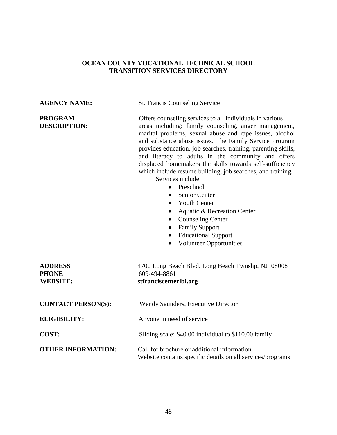**AGENCY NAME:** St. Francis Counseling Service

**PROGRAM Offers counseling services to all individuals in various DESCRIPTION:** areas including: family counseling, anger management, marital problems, sexual abuse and rape issues, alcohol and substance abuse issues. The Family Service Program provides education, job searches, training, parenting skills, and literacy to adults in the community and offers displaced homemakers the skills towards self-sufficiency which include resume building, job searches, and training.

Services include:

- Preschool
- Senior Center
- Youth Center
- Aquatic & Recreation Center
- Counseling Center
- Family Support
- Educational Support
- Volunteer Opportunities

| <b>ADDRESS</b><br><b>PHONE</b><br><b>WEBSITE:</b> | 4700 Long Beach Blvd. Long Beach Twnshp, NJ 08008<br>609-494-8861<br>stfranciscenterlbi.org               |
|---------------------------------------------------|-----------------------------------------------------------------------------------------------------------|
| <b>CONTACT PERSON(S):</b>                         | Wendy Saunders, Executive Director                                                                        |
| <b>ELIGIBILITY:</b>                               | Anyone in need of service                                                                                 |
| COST:                                             | Sliding scale: \$40.00 individual to \$110.00 family                                                      |
| <b>OTHER INFORMATION:</b>                         | Call for brochure or additional information<br>Website contains specific details on all services/programs |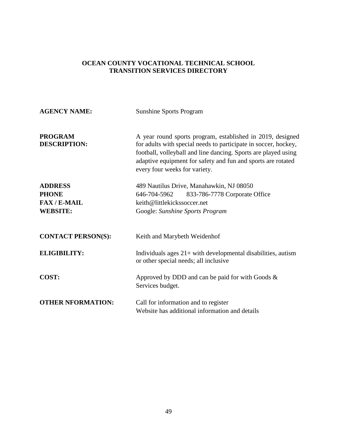| <b>AGENCY NAME:</b>                                                    | <b>Sunshine Sports Program</b>                                                                                                                                                                                                                                                                   |
|------------------------------------------------------------------------|--------------------------------------------------------------------------------------------------------------------------------------------------------------------------------------------------------------------------------------------------------------------------------------------------|
| <b>PROGRAM</b><br><b>DESCRIPTION:</b>                                  | A year round sports program, established in 2019, designed<br>for adults with special needs to participate in soccer, hockey,<br>football, volleyball and line dancing. Sports are played using<br>adaptive equipment for safety and fun and sports are rotated<br>every four weeks for variety. |
| <b>ADDRESS</b><br><b>PHONE</b><br><b>FAX/E-MAIL</b><br><b>WEBSITE:</b> | 489 Nautilus Drive, Manahawkin, NJ 08050<br>833-786-7778 Corporate Office<br>646-704-5962<br>keith@littlekickssoccer.net<br>Google: Sunshine Sports Program                                                                                                                                      |
| <b>CONTACT PERSON(S):</b>                                              | Keith and Marybeth Weidenhof                                                                                                                                                                                                                                                                     |
| <b>ELIGIBILITY:</b>                                                    | Individuals ages $21+$ with developmental disabilities, autism<br>or other special needs; all inclusive                                                                                                                                                                                          |
| <b>COST:</b>                                                           | Approved by DDD and can be paid for with Goods $\&$<br>Services budget.                                                                                                                                                                                                                          |
| <b>OTHER NFORMATION:</b>                                               | Call for information and to register<br>Website has additional information and details                                                                                                                                                                                                           |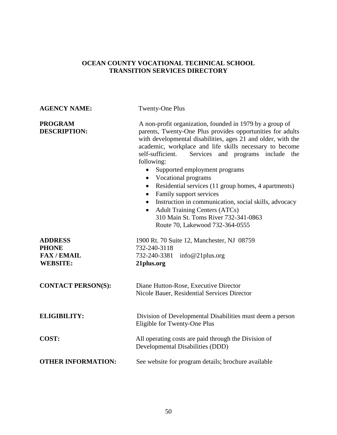| <b>AGENCY NAME:</b>                   | Twenty-One Plus                                                                                                                                                                                                                                                                                                                                                                                                                                                                                                                                                                                                                                                                                      |
|---------------------------------------|------------------------------------------------------------------------------------------------------------------------------------------------------------------------------------------------------------------------------------------------------------------------------------------------------------------------------------------------------------------------------------------------------------------------------------------------------------------------------------------------------------------------------------------------------------------------------------------------------------------------------------------------------------------------------------------------------|
| <b>PROGRAM</b><br><b>DESCRIPTION:</b> | A non-profit organization, founded in 1979 by a group of<br>parents, Twenty-One Plus provides opportunities for adults<br>with developmental disabilities, ages 21 and older, with the<br>academic, workplace and life skills necessary to become<br>self-sufficient.<br>Services and programs include the<br>following:<br>Supported employment programs<br>• Vocational programs<br>Residential services (11 group homes, 4 apartments)<br>$\bullet$<br>Family support services<br>$\bullet$<br>Instruction in communication, social skills, advocacy<br>$\bullet$<br><b>Adult Training Centers (ATCs)</b><br>$\bullet$<br>310 Main St. Toms River 732-341-0863<br>Route 70, Lakewood 732-364-0555 |
| <b>ADDRESS</b>                        | 1900 Rt. 70 Suite 12, Manchester, NJ 08759                                                                                                                                                                                                                                                                                                                                                                                                                                                                                                                                                                                                                                                           |
| <b>PHONE</b><br><b>FAX/EMAIL</b>      | 732-240-3118<br>info@21plus.org<br>732-240-3381                                                                                                                                                                                                                                                                                                                                                                                                                                                                                                                                                                                                                                                      |
| <b>WEBSITE:</b>                       | 21plus.org                                                                                                                                                                                                                                                                                                                                                                                                                                                                                                                                                                                                                                                                                           |
| <b>CONTACT PERSON(S):</b>             | Diane Hutton-Rose, Executive Director<br>Nicole Bauer, Residential Services Director                                                                                                                                                                                                                                                                                                                                                                                                                                                                                                                                                                                                                 |
| <b>ELIGIBILITY:</b>                   | Division of Developmental Disabilities must deem a person<br>Eligible for Twenty-One Plus                                                                                                                                                                                                                                                                                                                                                                                                                                                                                                                                                                                                            |
| <b>COST:</b>                          | All operating costs are paid through the Division of<br>Developmental Disabilities (DDD)                                                                                                                                                                                                                                                                                                                                                                                                                                                                                                                                                                                                             |
| <b>OTHER INFORMATION:</b>             | See website for program details; brochure available                                                                                                                                                                                                                                                                                                                                                                                                                                                                                                                                                                                                                                                  |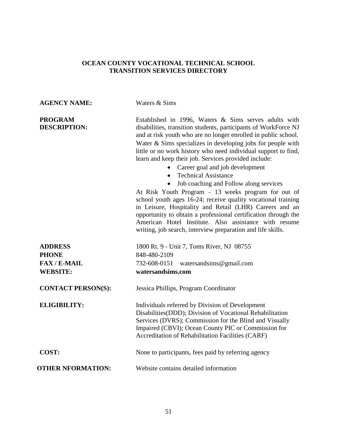## **AGENCY NAME:** Waters & Sims **PROGRAM** Established in 1996, Waters & Sims serves adults with **DESCRIPTION:** disabilities, transition students, participants of WorkForce NJ and at risk youth who are no longer enrolled in public school. Water & Sims specializes in developing jobs for people with little or no work history who need individual support to find, learn and keep their job. Services provided include: • Career goal and job development • Technical Assistance • Job coaching and Follow along services At Risk Youth Program – 13 weeks program for out of school youth ages 16-24; receive quality vocational training in Leisure, Hospitality and Retail (LHR) Careers and an opportunity to obtain a professional certification through the American Hotel Institute. Also assistance with resume writing, job search, interview preparation and life skills. **ADDRESS** 1800 Rt. 9 - Unit 7, Toms River, NJ 08755 **PHONE** 848-480-2109 **FAX / E-MAIL** 732-608-0151 watersandsims@gmail.com **WEBSITE: watersandsims.com CONTACT PERSON(S):** Jessica Phillips, Program Coordinator **ELIGIBILITY:** Individuals referred by Division of Development Disabilities(DDD); Division of Vocational Rehabilitation Services (DVRS); Commission for the Blind and Visually Impaired (CBVI); Ocean County PIC or Commission for Accreditation of Rehabilitation Facilities (CARF) **COST:** None to participants, fees paid by referring agency **OTHER NFORMATION:** Website contains detailed information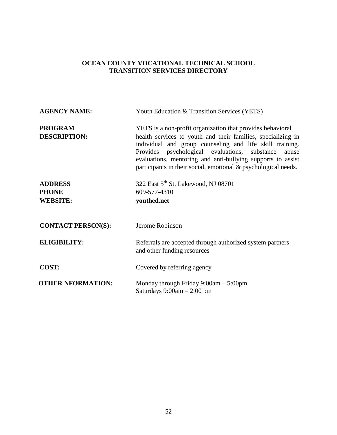| <b>AGENCY NAME:</b>                               | Youth Education & Transition Services (YETS)                                                                                                                                                                                                                                                                                                                                            |
|---------------------------------------------------|-----------------------------------------------------------------------------------------------------------------------------------------------------------------------------------------------------------------------------------------------------------------------------------------------------------------------------------------------------------------------------------------|
| <b>PROGRAM</b><br><b>DESCRIPTION:</b>             | YETS is a non-profit organization that provides behavioral<br>health services to youth and their families, specializing in<br>individual and group counseling and life skill training.<br>psychological evaluations, substance<br>Provides<br>abuse<br>evaluations, mentoring and anti-bullying supports to assist<br>participants in their social, emotional $\&$ psychological needs. |
| <b>ADDRESS</b><br><b>PHONE</b><br><b>WEBSITE:</b> | 322 East 5 <sup>th</sup> St. Lakewood, NJ 08701<br>609-577-4310<br>youthed.net                                                                                                                                                                                                                                                                                                          |
| <b>CONTACT PERSON(S):</b>                         | Jerome Robinson                                                                                                                                                                                                                                                                                                                                                                         |
| <b>ELIGIBILITY:</b>                               | Referrals are accepted through authorized system partners<br>and other funding resources                                                                                                                                                                                                                                                                                                |
| <b>COST:</b>                                      | Covered by referring agency                                                                                                                                                                                                                                                                                                                                                             |
| <b>OTHER NFORMATION:</b>                          | Monday through Friday $9:00am - 5:00pm$<br>Saturdays $9:00am - 2:00 pm$                                                                                                                                                                                                                                                                                                                 |